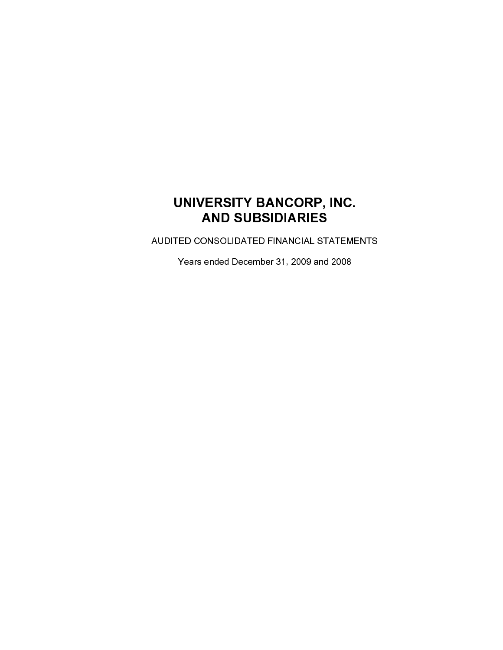# UNIVERSITY BANCORP, INC. **AND SUBSIDIARIES**

AUDITED CONSOLIDATED FINANCIAL STATEMENTS

Years ended December 31, 2009 and 2008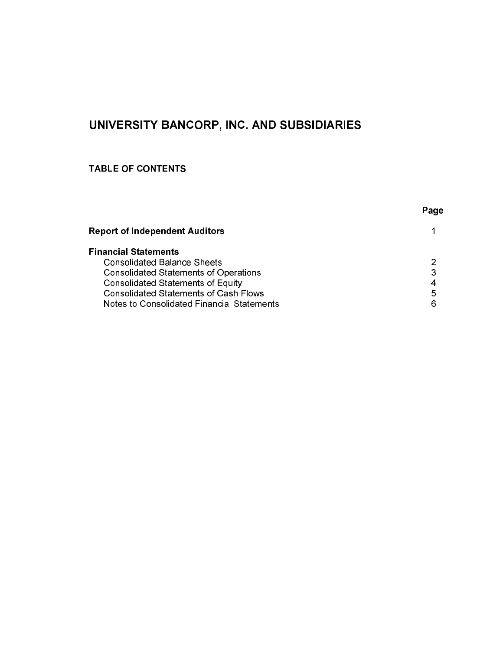# UNIVERSITY BANCORP, INC. AND SUBSIDIARIES

# **TABLE OF CONTENTS**

| Page |
|------|
|      |
|      |
| 2    |
| 3    |
| 4    |
| 5    |
| 6    |
|      |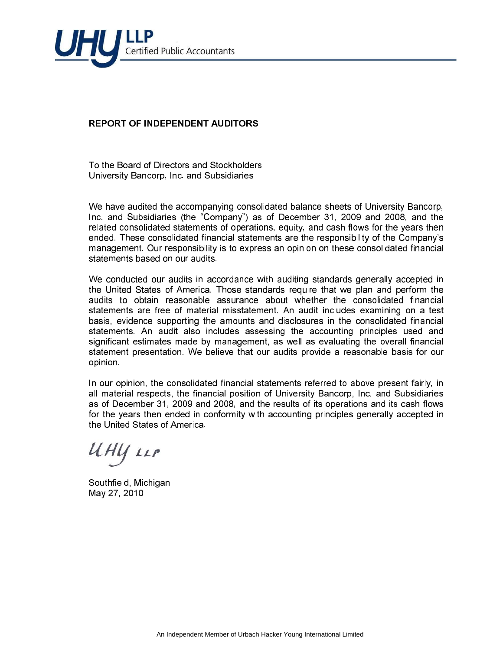

# **REPORT OF INDEPENDENT AUDITORS**

To the Board of Directors and Stockholders University Bancorp, Inc. and Subsidiaries

We have audited the accompanying consolidated balance sheets of University Bancorp. Inc. and Subsidiaries (the "Company") as of December 31, 2009 and 2008, and the related consolidated statements of operations, equity, and cash flows for the years then ended. These consolidated financial statements are the responsibility of the Company's management. Our responsibility is to express an opinion on these consolidated financial statements based on our audits.

We conducted our audits in accordance with auditing standards generally accepted in the United States of America. Those standards require that we plan and perform the audits to obtain reasonable assurance about whether the consolidated financial statements are free of material misstatement. An audit includes examining on a test basis, evidence supporting the amounts and disclosures in the consolidated financial statements. An audit also includes assessing the accounting principles used and significant estimates made by management, as well as evaluating the overall financial statement presentation. We believe that our audits provide a reasonable basis for our opinion.

In our opinion, the consolidated financial statements referred to above present fairly, in all material respects, the financial position of University Bancorp, Inc. and Subsidiaries as of December 31, 2009 and 2008, and the results of its operations and its cash flows for the years then ended in conformity with accounting principles generally accepted in the United States of America

UHY LLP

Southfield, Michigan May 27, 2010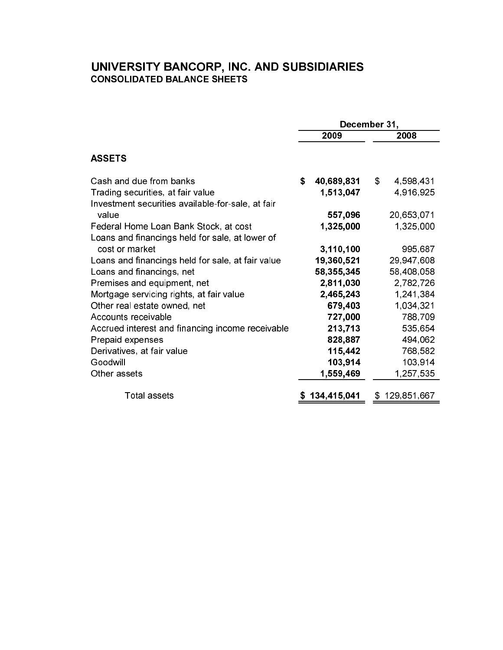# **UNIVERSITY BANCORP, INC. AND SUBSIDIARIES**<br>CONSOLIDATED BALANCE SHEETS

|                                                   | December 31,    |                            |  |  |  |
|---------------------------------------------------|-----------------|----------------------------|--|--|--|
|                                                   | 2009            | 2008                       |  |  |  |
| <b>ASSETS</b>                                     |                 |                            |  |  |  |
| Cash and due from banks                           | S<br>40,689,831 | $\mathcal{S}$<br>4,598,431 |  |  |  |
| Trading securities, at fair value                 | 1,513,047       | 4,916,925                  |  |  |  |
| Investment securities available-for-sale, at fair |                 |                            |  |  |  |
| value                                             | 557,096         | 20,653,071                 |  |  |  |
| Federal Home Loan Bank Stock, at cost             | 1,325,000       | 1,325,000                  |  |  |  |
| Loans and financings held for sale, at lower of   |                 |                            |  |  |  |
| cost or market                                    | 3,110,100       | 995,687                    |  |  |  |
| Loans and financings held for sale, at fair value | 19,360,521      | 29,947,608                 |  |  |  |
| Loans and financings, net                         | 58,355,345      | 58,408,058                 |  |  |  |
| Premises and equipment, net                       | 2,811,030       | 2,782,726                  |  |  |  |
| Mortgage servicing rights, at fair value          | 2,465,243       | 1,241,384                  |  |  |  |
| Other real estate owned, net                      | 679,403         | 1,034,321                  |  |  |  |
| Accounts receivable                               | 727,000         | 788,709                    |  |  |  |
| Accrued interest and financing income receivable  | 213,713         | 535,654                    |  |  |  |
| Prepaid expenses                                  | 828,887         | 494,062                    |  |  |  |
| Derivatives, at fair value                        | 115,442         | 768,582                    |  |  |  |
| Goodwill                                          | 103,914         | 103,914                    |  |  |  |
| Other assets                                      | 1,559,469       | 1,257,535                  |  |  |  |
| <b>Total assets</b>                               | 134,415,041     | 129,851,667<br>S           |  |  |  |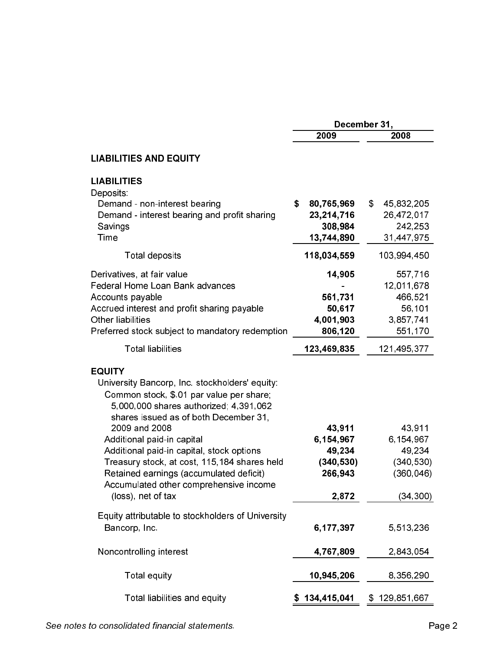|                                                                                                                                                                                                          | December 31,                                        |                                                                    |  |  |
|----------------------------------------------------------------------------------------------------------------------------------------------------------------------------------------------------------|-----------------------------------------------------|--------------------------------------------------------------------|--|--|
|                                                                                                                                                                                                          | 2009                                                | 2008                                                               |  |  |
| <b>LIABILITIES AND EQUITY</b>                                                                                                                                                                            |                                                     |                                                                    |  |  |
| <b>LIABILITIES</b><br>Deposits:<br>Demand - non-interest bearing                                                                                                                                         | \$<br>80,765,969                                    | $\mathfrak{F}$<br>45,832,205                                       |  |  |
| Demand - interest bearing and profit sharing<br>Savings<br>Time                                                                                                                                          | 23,214,716<br>308,984<br>13,744,890                 | 26,472,017<br>242,253<br>31,447,975                                |  |  |
| Total deposits                                                                                                                                                                                           | 118,034,559                                         | 103,994,450                                                        |  |  |
| Derivatives, at fair value<br>Federal Home Loan Bank advances<br>Accounts payable<br>Accrued interest and profit sharing payable<br>Other liabilities<br>Preferred stock subject to mandatory redemption | 14,905<br>561,731<br>50,617<br>4,001,903<br>806,120 | 557,716<br>12,011,678<br>466,521<br>56,101<br>3,857,741<br>551,170 |  |  |
| <b>Total liabilities</b>                                                                                                                                                                                 | 123,469,835                                         | 121,495,377                                                        |  |  |
| <b>EQUITY</b><br>University Bancorp, Inc. stockholders' equity:<br>Common stock, \$.01 par value per share;<br>5,000,000 shares authorized; 4,391,062<br>shares issued as of both December 31,           |                                                     |                                                                    |  |  |
| 2009 and 2008                                                                                                                                                                                            | 43,911                                              | 43,911                                                             |  |  |
| Additional paid-in capital                                                                                                                                                                               | 6,154,967                                           | 6,154,967                                                          |  |  |
| Additional paid-in capital, stock options<br>Treasury stock, at cost, 115,184 shares held                                                                                                                | 49,234<br>(340, 530)                                | 49,234<br>(340, 530)                                               |  |  |
| Retained earnings (accumulated deficit)                                                                                                                                                                  | 266,943                                             | (360, 046)                                                         |  |  |
| Accumulated other comprehensive income<br>(loss), net of tax                                                                                                                                             | 2,872                                               | (34, 300)                                                          |  |  |
| Equity attributable to stockholders of University<br>Bancorp, Inc.                                                                                                                                       | 6,177,397                                           | 5,513,236                                                          |  |  |
| Noncontrolling interest                                                                                                                                                                                  | 4,767,809                                           | 2,843,054                                                          |  |  |
| Total equity                                                                                                                                                                                             | 10,945,206                                          | 8,356,290                                                          |  |  |
| Total liabilities and equity                                                                                                                                                                             | 134,415,041                                         | 129,851,667<br>\$                                                  |  |  |

# See notes to consolidated financial statements.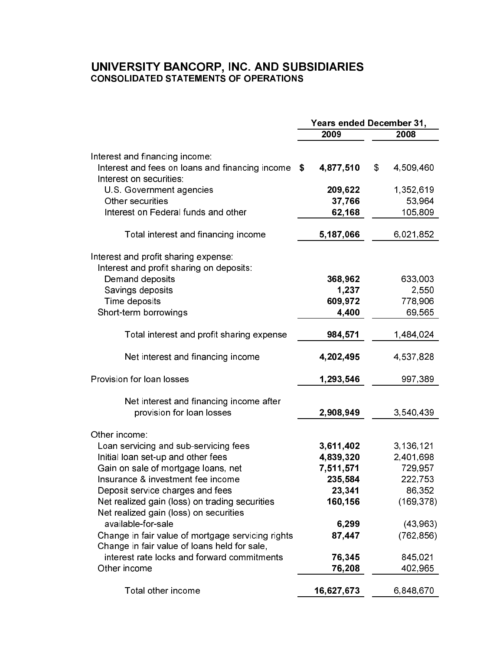# UNIVERSITY BANCORP, INC. AND SUBSIDIARIES<br>CONSOLIDATED STATEMENTS OF OPERATIONS

|                                                                                             | <b>Years ended December 31,</b> |                |            |  |
|---------------------------------------------------------------------------------------------|---------------------------------|----------------|------------|--|
|                                                                                             | 2009                            |                | 2008       |  |
| Interest and financing income:                                                              |                                 |                |            |  |
| Interest and fees on loans and financing income<br>Interest on securities.                  | 4,877,510<br>\$                 | $\mathfrak{F}$ | 4,509,460  |  |
| U.S. Government agencies                                                                    | 209,622                         |                | 1,352,619  |  |
| Other securities                                                                            | 37,766                          |                | 53,964     |  |
| Interest on Federal funds and other                                                         | 62,168                          |                | 105,809    |  |
| Total interest and financing income                                                         | 5,187,066                       |                | 6,021,852  |  |
| Interest and profit sharing expense.                                                        |                                 |                |            |  |
| Interest and profit sharing on deposits:                                                    |                                 |                |            |  |
| Demand deposits                                                                             | 368,962                         |                | 633,003    |  |
| Savings deposits                                                                            | 1,237                           |                | 2,550      |  |
| Time deposits                                                                               | 609,972                         |                | 778,906    |  |
| Short-term borrowings                                                                       | 4,400                           |                | 69,565     |  |
| Total interest and profit sharing expense                                                   | 984,571                         |                | 1,484,024  |  |
| Net interest and financing income                                                           | 4,202,495                       |                | 4,537,828  |  |
| Provision for loan losses                                                                   | 1,293,546                       |                | 997,389    |  |
| Net interest and financing income after<br>provision for loan losses                        | 2,908,949                       |                | 3,540,439  |  |
| Other income:                                                                               |                                 |                |            |  |
| Loan servicing and sub-servicing fees                                                       | 3,611,402                       |                | 3,136,121  |  |
| Initial loan set-up and other fees                                                          | 4,839,320                       |                | 2,401,698  |  |
| Gain on sale of mortgage loans, net                                                         | 7,511,571                       |                | 729,957    |  |
| Insurance & investment fee income                                                           | 235,584                         |                | 222,753    |  |
| Deposit service charges and fees                                                            | 23,341                          |                | 86,352     |  |
| Net realized gain (loss) on trading securities<br>Net realized gain (loss) on securities    | 160,156                         |                | (169, 378) |  |
| available-for-sale                                                                          | 6,299                           |                | (43, 963)  |  |
| Change in fair value of mortgage servicing rights                                           | 87,447                          |                | (762, 856) |  |
| Change in fair value of loans held for sale,<br>interest rate locks and forward commitments | 76,345                          |                | 845,021    |  |
| Other income                                                                                | 76,208                          |                | 402,965    |  |
| Total other income                                                                          | 16,627,673                      |                | 6,848,670  |  |
|                                                                                             |                                 |                |            |  |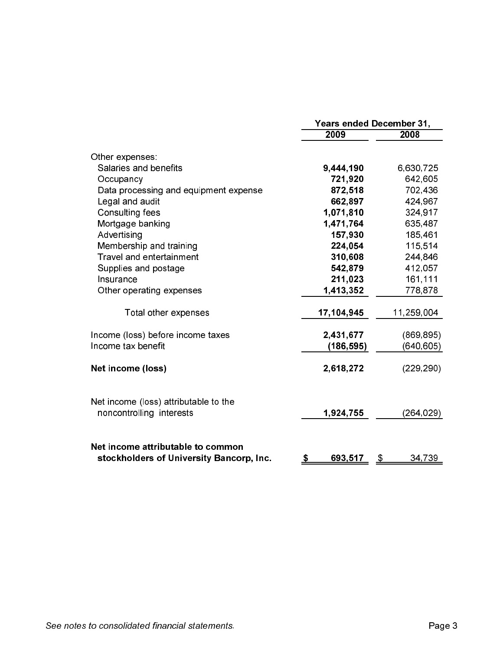|                                                                               | <b>Years ended December 31,</b> |                     |  |  |  |
|-------------------------------------------------------------------------------|---------------------------------|---------------------|--|--|--|
|                                                                               | 2009                            | 2008                |  |  |  |
| Other expenses:                                                               |                                 |                     |  |  |  |
| Salaries and benefits                                                         | 9,444,190                       | 6,630,725           |  |  |  |
| Occupancy                                                                     | 721,920                         | 642,605             |  |  |  |
| Data processing and equipment expense                                         | 872,518                         | 702,436             |  |  |  |
| Legal and audit                                                               | 662,897                         | 424,967             |  |  |  |
| Consulting fees                                                               | 1,071,810                       | 324,917             |  |  |  |
| Mortgage banking                                                              | 1,471,764                       | 635,487             |  |  |  |
| Advertising                                                                   | 157,930                         | 185,461             |  |  |  |
| Membership and training                                                       | 224,054                         | 115,514             |  |  |  |
| Travel and entertainment                                                      | 310,608                         | 244,846             |  |  |  |
| Supplies and postage                                                          | 542,879                         | 412,057             |  |  |  |
| Insurance                                                                     | 211,023                         | 161,111             |  |  |  |
| Other operating expenses                                                      | 1,413,352                       | 778,878             |  |  |  |
| Total other expenses                                                          | 17,104,945                      | 11,259,004          |  |  |  |
| Income (loss) before income taxes                                             | 2,431,677                       | (869, 895)          |  |  |  |
| Income tax benefit                                                            | (186, 595)                      | (640, 605)          |  |  |  |
| Net income (loss)                                                             | 2,618,272                       | (229, 290)          |  |  |  |
| Net income (loss) attributable to the<br>noncontrolling interests             | 1,924,755                       | (264, 029)          |  |  |  |
| Net income attributable to common<br>stockholders of University Bancorp, Inc. | 693,517<br><u>\$</u>            | 34,739<br><u>\$</u> |  |  |  |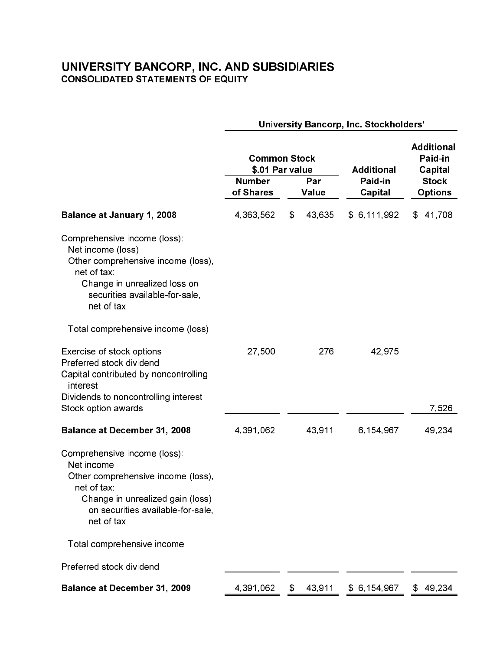# **UNIVERSITY BANCORP, INC. AND SUBSIDIARIES**<br>CONSOLIDATED STATEMENTS OF EQUITY

|                                                                                                                                                                                        | University Bancorp, Inc. Stockholders' |                                                               |                                         |                                                                           |  |  |  |  |
|----------------------------------------------------------------------------------------------------------------------------------------------------------------------------------------|----------------------------------------|---------------------------------------------------------------|-----------------------------------------|---------------------------------------------------------------------------|--|--|--|--|
|                                                                                                                                                                                        | <b>Number</b><br>of Shares             | <b>Common Stock</b><br>\$.01 Par value<br>Par<br><b>Value</b> | <b>Additional</b><br>Paid-in<br>Capital | <b>Additional</b><br>Paid-in<br>Capital<br><b>Stock</b><br><b>Options</b> |  |  |  |  |
| <b>Balance at January 1, 2008</b>                                                                                                                                                      | 4,363,562                              | \$<br>43,635                                                  | \$6,111,992                             | 41,708<br>\$                                                              |  |  |  |  |
| Comprehensive income (loss):<br>Net income (loss)<br>Other comprehensive income (loss),<br>net of tax:<br>Change in unrealized loss on<br>securities available-for-sale,<br>net of tax |                                        |                                                               |                                         |                                                                           |  |  |  |  |
| Total comprehensive income (loss)                                                                                                                                                      |                                        |                                                               |                                         |                                                                           |  |  |  |  |
| Exercise of stock options<br>Preferred stock dividend<br>Capital contributed by noncontrolling<br>interest<br>Dividends to noncontrolling interest                                     | 27,500                                 | 276                                                           | 42,975                                  |                                                                           |  |  |  |  |
| Stock option awards                                                                                                                                                                    |                                        |                                                               |                                         | 7,526                                                                     |  |  |  |  |
| <b>Balance at December 31, 2008</b>                                                                                                                                                    | 4,391,062                              | 43,911                                                        | 6,154,967                               | 49,234                                                                    |  |  |  |  |
| Comprehensive income (loss):<br>Net income<br>Other comprehensive income (loss),<br>net of tax:<br>Change in unrealized gain (loss)<br>on securities available-for-sale,<br>net of tax |                                        |                                                               |                                         |                                                                           |  |  |  |  |
| Total comprehensive income                                                                                                                                                             |                                        |                                                               |                                         |                                                                           |  |  |  |  |
| Preferred stock dividend                                                                                                                                                               |                                        |                                                               |                                         |                                                                           |  |  |  |  |
| <b>Balance at December 31, 2009</b>                                                                                                                                                    | 4,391,062                              | 43,911                                                        | \$6,154,967                             | 49,234<br>\$                                                              |  |  |  |  |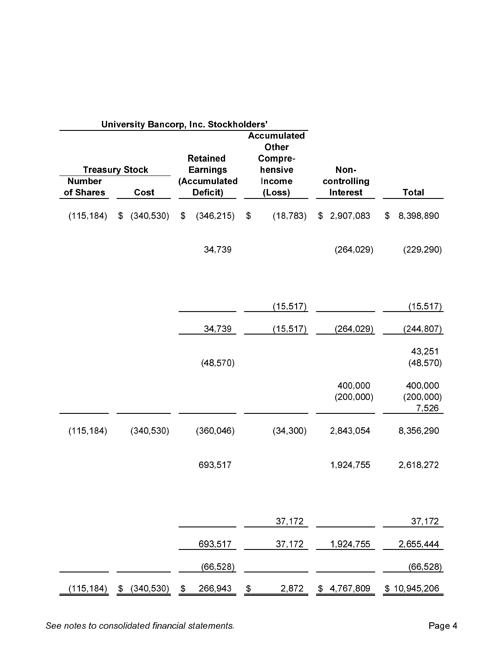|                                                     |                  |               | University Bancorp, Inc. Stockholders'                         |                |                                                                              |                  |                                        |                |                                |
|-----------------------------------------------------|------------------|---------------|----------------------------------------------------------------|----------------|------------------------------------------------------------------------------|------------------|----------------------------------------|----------------|--------------------------------|
| <b>Treasury Stock</b><br><b>Number</b><br>of Shares | Cost             |               | <b>Retained</b><br><b>Earnings</b><br>(Accumulated<br>Deficit) |                | <b>Accumulated</b><br><b>Other</b><br>Compre-<br>hensive<br>Income<br>(Loss) |                  | Non-<br>controlling<br><b>Interest</b> |                | <b>Total</b>                   |
|                                                     |                  |               |                                                                |                |                                                                              |                  |                                        |                |                                |
| (115, 184)                                          | \$ (340, 530)    | $\frac{2}{3}$ | (346, 215)                                                     | $\mathfrak{F}$ | (18, 783)                                                                    | $\mathfrak{S}^-$ | 2,907,083                              | $\mathfrak{F}$ | 8,398,890                      |
|                                                     |                  |               | 34,739                                                         |                |                                                                              |                  | (264, 029)                             |                | (229, 290)                     |
|                                                     |                  |               |                                                                |                | (15, 517)                                                                    |                  |                                        |                | (15, 517)                      |
|                                                     |                  |               | 34,739                                                         |                | (15, 517)                                                                    |                  | (264, 029)                             |                | (244, 807)                     |
|                                                     |                  |               | (48, 570)                                                      |                |                                                                              |                  |                                        |                | 43,251<br>(48, 570)            |
|                                                     |                  |               |                                                                |                |                                                                              |                  | 400,000<br>(200, 000)                  |                | 400,000<br>(200, 000)<br>7,526 |
| (115, 184)                                          | (340, 530)       |               | (360, 046)                                                     |                | (34, 300)                                                                    |                  | 2,843,054                              |                | 8,356,290                      |
|                                                     |                  |               | 693,517                                                        |                |                                                                              |                  | 1,924,755                              |                | 2,618,272                      |
|                                                     |                  |               |                                                                |                | 37,172                                                                       |                  |                                        |                | 37,172                         |
|                                                     |                  |               | 693,517                                                        |                | 37,172                                                                       |                  | 1,924,755                              |                | 2,655,444                      |
|                                                     |                  |               | (66, 528)                                                      |                |                                                                              |                  |                                        |                | (66, 528)                      |
| (115,184)                                           | \$<br>(340, 530) | \$            | 266,943                                                        | \$             | 2,872                                                                        | \$               | 4,767,809                              |                | \$10,945,206                   |

See notes to consolidated financial statements.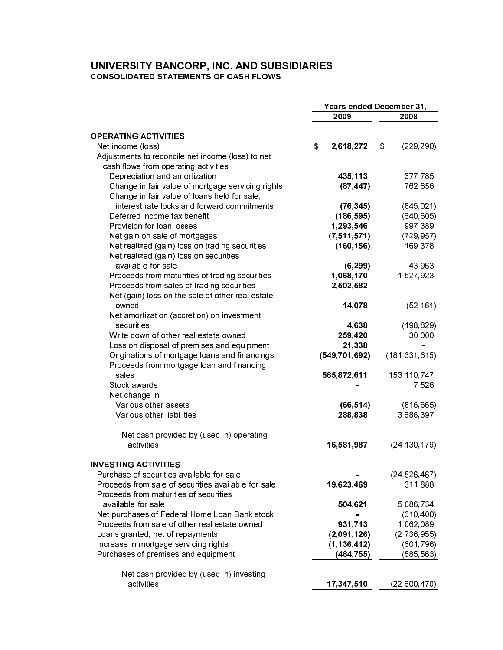# UNIVERSITY BANCORP, INC. AND SUBSIDIARIES<br>CONSOLIDATED STATEMENTS OF CASH FLOWS

|                                                     | Years ended December 31, |                 |    |                 |
|-----------------------------------------------------|--------------------------|-----------------|----|-----------------|
|                                                     |                          | 2009            |    | 2008            |
|                                                     |                          |                 |    |                 |
| <b>OPERATING ACTIVITIES</b>                         |                          |                 |    |                 |
| Net income (loss)                                   | \$                       | 2,618,272       | \$ | (229, 290)      |
| Adjustments to reconcile net income (loss) to net   |                          |                 |    |                 |
| cash flows from operating activities:               |                          |                 |    |                 |
| Depreciation and amortization                       |                          | 435,113         |    | 377,785         |
| Change in fair value of mortgage servicing rights   |                          | (87, 447)       |    | 762,856         |
| Change in fair value of loans held for sale,        |                          |                 |    |                 |
| interest rate locks and forward commitments         |                          | (76, 345)       |    | (845, 021)      |
| Deferred income tax benefit                         |                          | (186, 595)      |    | (640, 605)      |
| Provision for loan losses                           |                          | 1,293,546       |    | 997,389         |
| Net gain on sale of mortgages                       |                          | (7, 511, 571)   |    | (729, 957)      |
| Net realized (gain) loss on trading securities      |                          | (160, 156)      |    | 169,378         |
| Net realized (gain) loss on securities              |                          |                 |    |                 |
| available-for-sale                                  |                          | (6, 299)        |    | 43,963          |
| Proceeds from maturities of trading securities      |                          | 1,068,170       |    | 1,527,923       |
|                                                     |                          | 2,502,582       |    |                 |
| Proceeds from sales of trading securities           |                          |                 |    |                 |
| Net (gain) loss on the sale of other real estate    |                          |                 |    |                 |
| owned                                               |                          | 14,078          |    | (52, 161)       |
| Net amortization (accretion) on investment          |                          |                 |    |                 |
| securities                                          |                          | 4,638           |    | (198, 829)      |
| Write down of other real estate owned               |                          | 259,420         |    | 30,000          |
| Loss on disposal of premises and equipment          |                          | 21,338          |    |                 |
| Originations of mortgage loans and financings       |                          | (549, 701, 692) |    | (181, 331, 615) |
| Proceeds from mortgage loan and financing           |                          |                 |    |                 |
| sales                                               |                          | 565,872,611     |    | 153,110,747     |
| Stock awards                                        |                          |                 |    | 7,526           |
| Net change in:                                      |                          |                 |    |                 |
| Various other assets                                |                          | (66, 514)       |    | (816, 665)      |
| Various other liabilities                           |                          | 288,838         |    | 3,686,397       |
|                                                     |                          |                 |    |                 |
| Net cash provided by (used in) operating            |                          |                 |    |                 |
| activities                                          |                          | 16,581,987      |    | (24, 130, 179)  |
| <b>INVESTING ACTIVITIES</b>                         |                          |                 |    |                 |
| Purchase of securities available-for-sale           |                          |                 |    | (24, 526, 467)  |
| Proceeds from sale of securities available-for-sale |                          | 19,623,469      |    | 311,888         |
| Proceeds from maturities of securities              |                          |                 |    |                 |
| available-for-sale                                  |                          | 504,621         |    | 5,086,734       |
| Net purchases of Federal Home Loan Bank stock       |                          |                 |    | (610, 400)      |
| Proceeds from sale of other real estate owned       |                          | 931,713         |    | 1,062,089       |
|                                                     |                          |                 |    |                 |
| Loans granted, net of repayments                    |                          | (2,091,126)     |    | (2,736,955)     |
| Increase in mortgage servicing rights               |                          | (1, 136, 412)   |    | (601, 796)      |
| Purchases of premises and equipment                 |                          | (484, 755)      |    | (585, 563)      |
| Net cash provided by (used in) investing            |                          |                 |    |                 |
| activities                                          |                          | 17,347,510      |    | (22,600,470)    |
|                                                     |                          |                 |    |                 |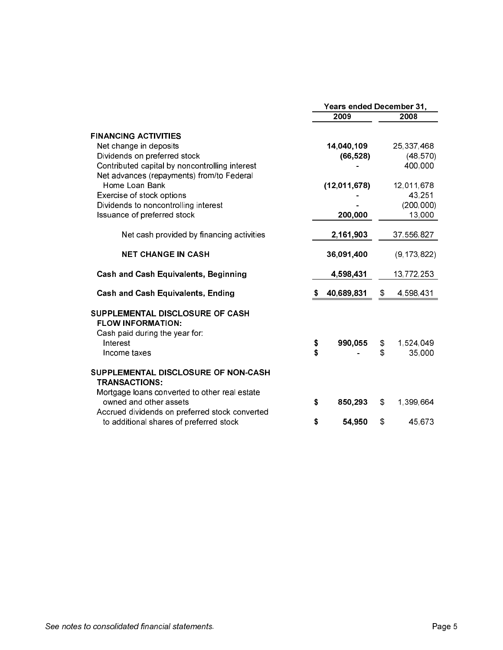|                                                                                                              | <b>Years ended December 31,</b> |              |    |               |  |
|--------------------------------------------------------------------------------------------------------------|---------------------------------|--------------|----|---------------|--|
|                                                                                                              |                                 | 2009         |    | 2008          |  |
| <b>FINANCING ACTIVITIES</b>                                                                                  |                                 |              |    |               |  |
| Net change in deposits                                                                                       |                                 | 14,040,109   |    | 25,337,468    |  |
| Dividends on preferred stock                                                                                 |                                 | (66, 528)    |    | (48, 570)     |  |
| Contributed capital by noncontrolling interest                                                               |                                 |              |    | 400,000       |  |
| Net advances (repayments) from/to Federal                                                                    |                                 |              |    |               |  |
| Home Loan Bank                                                                                               |                                 | (12,011,678) |    | 12,011,678    |  |
| Exercise of stock options                                                                                    |                                 |              |    | 43 251        |  |
| Dividends to noncontrolling interest                                                                         |                                 |              |    | (200, 000)    |  |
| Issuance of preferred stock                                                                                  |                                 | 200,000      |    | 13,000        |  |
| Net cash provided by financing activities                                                                    |                                 | 2,161,903    |    | 37,556,827    |  |
| <b>NET CHANGE IN CASH</b>                                                                                    |                                 | 36,091,400   |    | (9, 173, 822) |  |
| <b>Cash and Cash Equivalents, Beginning</b>                                                                  |                                 | 4,598,431    |    | 13,772,253    |  |
| <b>Cash and Cash Equivalents, Ending</b>                                                                     | S                               | 40,689,831   | \$ | 4,598,431     |  |
| SUPPLEMENTAL DISCLOSURE OF CASH<br><b>FLOW INFORMATION:</b><br>Cash paid during the year for:                |                                 |              |    |               |  |
| Interest                                                                                                     | \$                              | 990,055      | \$ | 1,524,049     |  |
| Income taxes                                                                                                 | \$                              |              | \$ | 35,000        |  |
| SUPPLEMENTAL DISCLOSURE OF NON-CASH<br><b>TRANSACTIONS:</b><br>Mortgage loans converted to other real estate |                                 |              |    |               |  |
| owned and other assets                                                                                       | \$                              | 850,293      | \$ | 1,399,664     |  |
| Accrued dividends on preferred stock converted<br>to additional shares of preferred stock                    | \$                              | 54,950       | \$ | 45 673        |  |
|                                                                                                              |                                 |              |    |               |  |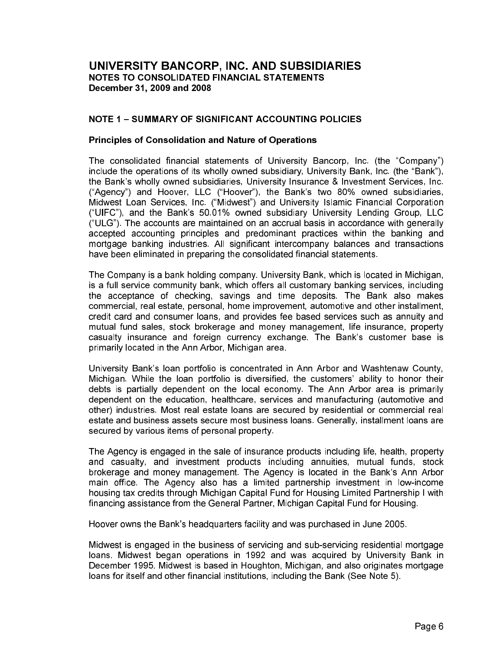#### **NOTE 1 - SUMMARY OF SIGNIFICANT ACCOUNTING POLICIES**

#### **Principles of Consolidation and Nature of Operations**

The consolidated financial statements of University Bancorp, Inc. (the "Company") include the operations of its wholly owned subsidiary, University Bank, Inc. (the "Bank"), the Bank's wholly owned subsidiaries. University Insurance & Investment Services, Inc. ("Agency") and Hoover, LLC ("Hoover"), the Bank's two 80% owned subsidiaries, Midwest Loan Services, Inc. ("Midwest") and University Islamic Financial Corporation ("UIFC"), and the Bank's 50.01% owned subsidiary University Lending Group, LLC ("ULG"). The accounts are maintained on an accrual basis in accordance with generally accepted accounting principles and predominant practices within the banking and mortgage banking industries. All significant intercompany balances and transactions have been eliminated in preparing the consolidated financial statements.

The Company is a bank holding company. University Bank, which is located in Michigan, is a full service community bank, which offers all customary banking services, including the acceptance of checking, savings and time deposits. The Bank also makes commercial, real estate, personal, home improvement, automotive and other installment, credit card and consumer loans, and provides fee based services such as annuity and mutual fund sales, stock brokerage and money management, life insurance, property casualty insurance and foreign currency exchange. The Bank's customer base is primarily located in the Ann Arbor, Michigan area.

University Bank's loan portfolio is concentrated in Ann Arbor and Washtenaw County. Michigan. While the loan portfolio is diversified, the customers' ability to honor their debts is partially dependent on the local economy. The Ann Arbor area is primarily dependent on the education, healthcare, services and manufacturing (automotive and other) industries. Most real estate loans are secured by residential or commercial real estate and business assets secure most business loans. Generally, installment loans are secured by various items of personal property.

The Agency is engaged in the sale of insurance products including life, health, property and casualty, and investment products including annuities, mutual funds, stock brokerage and money management. The Agency is located in the Bank's Ann Arbor main office. The Agency also has a limited partnership investment in low-income housing tax credits through Michigan Capital Fund for Housing Limited Partnership I with financing assistance from the General Partner, Michigan Capital Fund for Housing.

Hoover owns the Bank's headquarters facility and was purchased in June 2005.

Midwest is engaged in the business of servicing and sub-servicing residential mortgage loans. Midwest began operations in 1992 and was acquired by University Bank in December 1995. Midwest is based in Houghton, Michigan, and also originates mortgage loans for itself and other financial institutions, including the Bank (See Note 5).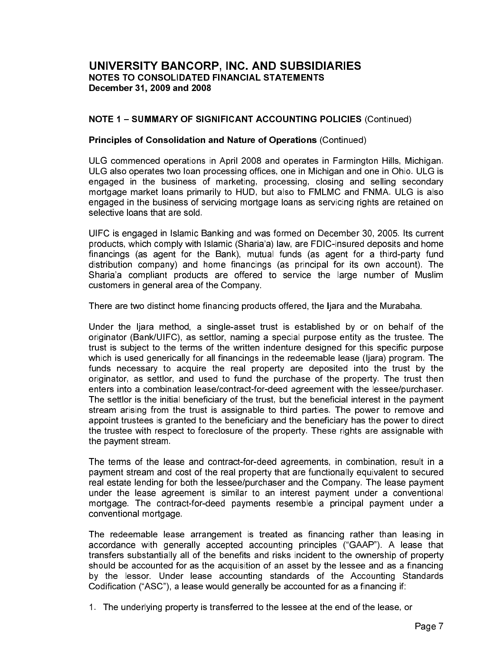#### **NOTE 1 - SUMMARY OF SIGNIFICANT ACCOUNTING POLICIES (Continued)**

#### Principles of Consolidation and Nature of Operations (Continued)

ULG commenced operations in April 2008 and operates in Farmington Hills, Michigan. ULG also operates two loan processing offices, one in Michigan and one in Ohio. ULG is engaged in the business of marketing, processing, closing and selling secondary mortgage market loans primarily to HUD, but also to FMLMC and FNMA. ULG is also engaged in the business of servicing mortgage loans as servicing rights are retained on selective loans that are sold.

UIFC is engaged in Islamic Banking and was formed on December 30, 2005. Its current products, which comply with Islamic (Sharia'a) law, are FDIC-insured deposits and home financings (as agent for the Bank), mutual funds (as agent for a third-party fund distribution company) and home financings (as principal for its own account). The Sharia'a compliant products are offered to service the large number of Muslim customers in general area of the Company.

There are two distinct home financing products offered, the liara and the Murabaha.

Under the ljara method, a single-asset trust is established by or on behalf of the originator (Bank/UIFC), as settlor, naming a special purpose entity as the trustee. The trust is subject to the terms of the written indenture designed for this specific purpose which is used generically for all financings in the redeemable lease (liara) program. The funds necessary to acquire the real property are deposited into the trust by the originator, as settlor, and used to fund the purchase of the property. The trust then enters into a combination lease/contract-for-deed agreement with the lessee/purchaser. The settlor is the initial beneficiary of the trust, but the beneficial interest in the payment stream arising from the trust is assignable to third parties. The power to remove and appoint trustees is granted to the beneficiary and the beneficiary has the power to direct the trustee with respect to foreclosure of the property. These rights are assignable with the payment stream.

The terms of the lease and contract-for-deed agreements, in combination, result in a payment stream and cost of the real property that are functionally equivalent to secured real estate lending for both the lessee/purchaser and the Company. The lease payment under the lease agreement is similar to an interest payment under a conventional mortgage. The contract-for-deed payments resemble a principal payment under a conventional mortgage.

The redeemable lease arrangement is treated as financing rather than leasing in accordance with generally accepted accounting principles ("GAAP"). A lease that transfers substantially all of the benefits and risks incident to the ownership of property should be accounted for as the acquisition of an asset by the lessee and as a financing by the lessor. Under lease accounting standards of the Accounting Standards Codification ("ASC"), a lease would generally be accounted for as a financing if:

1. The underlying property is transferred to the lessee at the end of the lease, or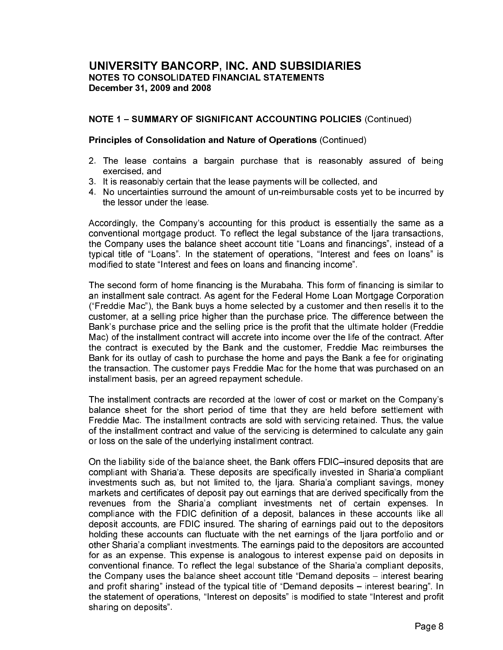#### **NOTE 1 - SUMMARY OF SIGNIFICANT ACCOUNTING POLICIES (Continued)**

#### Principles of Consolidation and Nature of Operations (Continued)

- 2. The lease contains a bargain purchase that is reasonably assured of being exercised and
- 3. It is reasonably certain that the lease payments will be collected, and
- 4. No uncertainties surround the amount of un-reimbursable costs yet to be incurred by the lessor under the lease

Accordingly, the Company's accounting for this product is essentially the same as a conventional mortgage product. To reflect the legal substance of the liara transactions, the Company uses the balance sheet account title "Loans and financings", instead of a typical title of "Loans". In the statement of operations, "Interest and fees on loans" is modified to state "Interest and fees on loans and financing income".

The second form of home financing is the Murabaha. This form of financing is similar to an installment sale contract. As agent for the Federal Home Loan Mortgage Corporation ("Freddie Mac"), the Bank buys a home selected by a customer and then resells it to the customer, at a selling price higher than the purchase price. The difference between the Bank's purchase price and the selling price is the profit that the ultimate holder (Freddie Mac) of the installment contract will accrete into income over the life of the contract. After the contract is executed by the Bank and the customer, Freddie Mac reimburses the Bank for its outlay of cash to purchase the home and pays the Bank a fee for originating the transaction. The customer pays Freddie Mac for the home that was purchased on an installment basis, per an agreed repayment schedule.

The installment contracts are recorded at the lower of cost or market on the Company's balance sheet for the short period of time that they are held before settlement with Freddie Mac. The installment contracts are sold with servicing retained. Thus, the value of the installment contract and value of the servicing is determined to calculate any gain or loss on the sale of the underlying installment contract.

On the liability side of the balance sheet, the Bank offers FDIC-insured deposits that are compliant with Sharia'a. These deposits are specifically invested in Sharia'a compliant investments such as, but not limited to, the liara. Sharia'a compliant savings, money markets and certificates of deposit pay out earnings that are derived specifically from the revenues from the Sharia'a compliant investments net of certain expenses. In compliance with the FDIC definition of a deposit, balances in these accounts like all deposit accounts, are FDIC insured. The sharing of earnings paid out to the depositors holding these accounts can fluctuate with the net earnings of the liara portfolio and or other Sharia'a compliant investments. The earnings paid to the depositors are accounted for as an expense. This expense is analogous to interest expense paid on deposits in conventional finance. To reflect the legal substance of the Sharia'a compliant deposits. the Company uses the balance sheet account title "Demand deposits – interest bearing and profit sharing" instead of the typical title of "Demand deposits – interest bearing". In the statement of operations, "Interest on deposits" is modified to state "Interest and profit sharing on deposits"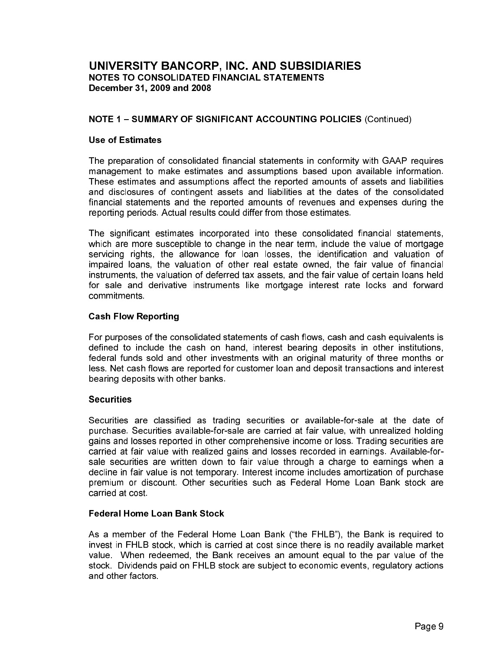#### **NOTE 1 - SUMMARY OF SIGNIFICANT ACCOUNTING POLICIES (Continued)**

#### **Use of Estimates**

The preparation of consolidated financial statements in conformity with GAAP requires management to make estimates and assumptions based upon available information. These estimates and assumptions affect the reported amounts of assets and liabilities and disclosures of contingent assets and liabilities at the dates of the consolidated financial statements and the reported amounts of revenues and expenses during the reporting periods. Actual results could differ from those estimates.

The significant estimates incorporated into these consolidated financial statements, which are more susceptible to change in the near term, include the value of mortgage servicing rights, the allowance for loan losses, the identification and valuation of impaired loans, the valuation of other real estate owned, the fair value of financial instruments, the valuation of deferred tax assets, and the fair value of certain loans held for sale and derivative instruments like mortgage interest rate locks and forward commitments

#### **Cash Flow Reporting**

For purposes of the consolidated statements of cash flows, cash and cash equivalents is defined to include the cash on hand, interest bearing deposits in other institutions, federal funds sold and other investments with an original maturity of three months or less. Net cash flows are reported for customer loan and deposit transactions and interest bearing deposits with other banks.

#### **Securities**

Securities are classified as trading securities or available-for-sale at the date of purchase. Securities available-for-sale are carried at fair value, with unrealized holding gains and losses reported in other comprehensive income or loss. Trading securities are carried at fair value with realized gains and losses recorded in earnings. Available-forsale securities are written down to fair value through a charge to earnings when a decline in fair value is not temporary. Interest income includes amortization of purchase premium or discount. Other securities such as Federal Home Loan Bank stock are carried at cost

#### **Federal Home Loan Bank Stock**

As a member of the Federal Home Loan Bank ("the FHLB"), the Bank is required to invest in FHLB stock, which is carried at cost since there is no readily available market value. When redeemed, the Bank receives an amount equal to the par value of the stock. Dividends paid on FHLB stock are subject to economic events, regulatory actions and other factors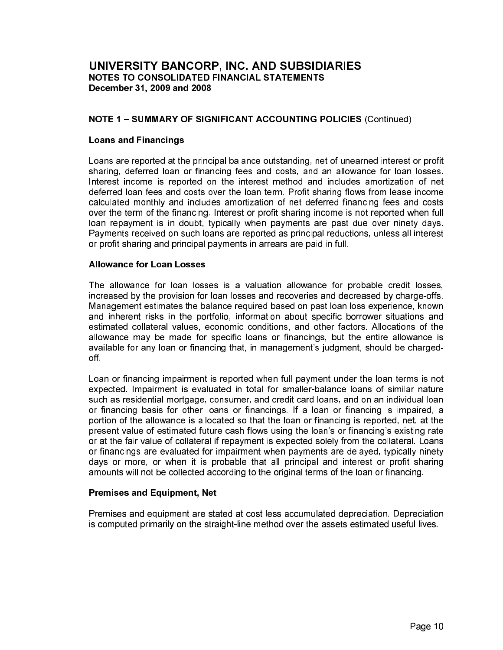# **NOTE 1 - SUMMARY OF SIGNIFICANT ACCOUNTING POLICIES (Continued)**

#### **Loans and Financings**

Loans are reported at the principal balance outstanding, net of unearned interest or profit sharing, deferred loan or financing fees and costs, and an allowance for loan losses. Interest income is reported on the interest method and includes amortization of net deferred loan fees and costs over the loan term. Profit sharing flows from lease income calculated monthly and includes amortization of net deferred financing fees and costs over the term of the financing. Interest or profit sharing income is not reported when full loan repayment is in doubt, typically when payments are past due over ninety days. Payments received on such loans are reported as principal reductions, unless all interest or profit sharing and principal payments in arrears are paid in full.

#### **Allowance for Loan Losses**

The allowance for loan losses is a valuation allowance for probable credit losses. increased by the provision for loan losses and recoveries and decreased by charge-offs. Management estimates the balance required based on past loan loss experience, known and inherent risks in the portfolio, information about specific borrower situations and estimated collateral values, economic conditions, and other factors. Allocations of the allowance may be made for specific loans or financings, but the entire allowance is available for any loan or financing that, in management's judgment, should be chargedoff.

Loan or financing impairment is reported when full payment under the loan terms is not expected. Impairment is evaluated in total for smaller-balance loans of similar nature such as residential mortgage, consumer, and credit card loans, and on an individual loan or financing basis for other loans or financings. If a loan or financing is impaired, a portion of the allowance is allocated so that the loan or financing is reported, net, at the present value of estimated future cash flows using the loan's or financing's existing rate or at the fair value of collateral if repayment is expected solely from the collateral. Loans or financings are evaluated for impairment when payments are delayed, typically ninety days or more, or when it is probable that all principal and interest or profit sharing amounts will not be collected according to the original terms of the loan or financing.

#### **Premises and Equipment, Net**

Premises and equipment are stated at cost less accumulated depreciation. Depreciation is computed primarily on the straight-line method over the assets estimated useful lives.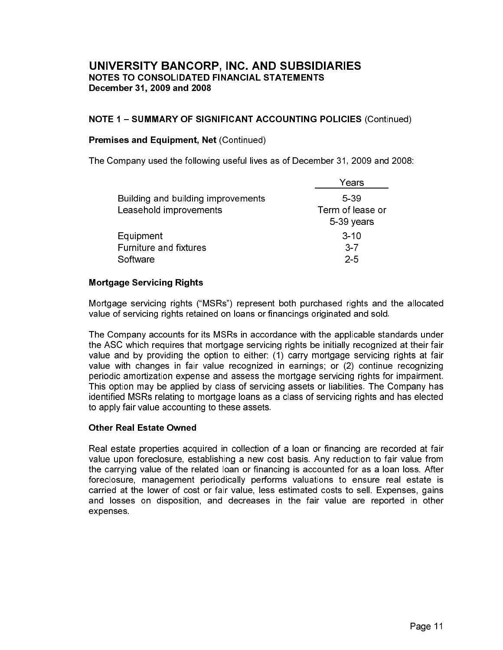# NOTE 1 - SUMMARY OF SIGNIFICANT ACCOUNTING POLICIES (Continued)

#### **Premises and Equipment, Net (Continued)**

The Company used the following useful lives as of December 31, 2009 and 2008:

|                                    | ears'            |
|------------------------------------|------------------|
| Building and building improvements | 5-39             |
| Leasehold improvements             | Term of lease or |
|                                    | 5-39 years       |
| Equipment                          | $3 - 10$         |
| <b>Furniture and fixtures</b>      | $3 - 7$          |
| Software                           | $2-5$            |
|                                    |                  |

# **Mortgage Servicing Rights**

Mortgage servicing rights ("MSRs") represent both purchased rights and the allocated value of servicing rights retained on loans or financings originated and sold.

The Company accounts for its MSRs in accordance with the applicable standards under the ASC which requires that mortgage servicing rights be initially recognized at their fair value and by providing the option to either: (1) carry mortgage servicing rights at fair value with changes in fair value recognized in earnings; or (2) continue recognizing periodic amortization expense and assess the mortgage servicing rights for impairment. This option may be applied by class of servicing assets or liabilities. The Company has identified MSRs relating to mortgage loans as a class of servicing rights and has elected to apply fair value accounting to these assets.

#### **Other Real Estate Owned**

Real estate properties acquired in collection of a loan or financing are recorded at fair value upon foreclosure, establishing a new cost basis. Any reduction to fair value from the carrying value of the related loan or financing is accounted for as a loan loss. After foreclosure, management periodically performs valuations to ensure real estate is carried at the lower of cost or fair value, less estimated costs to sell. Expenses, gains and losses on disposition, and decreases in the fair value are reported in other expenses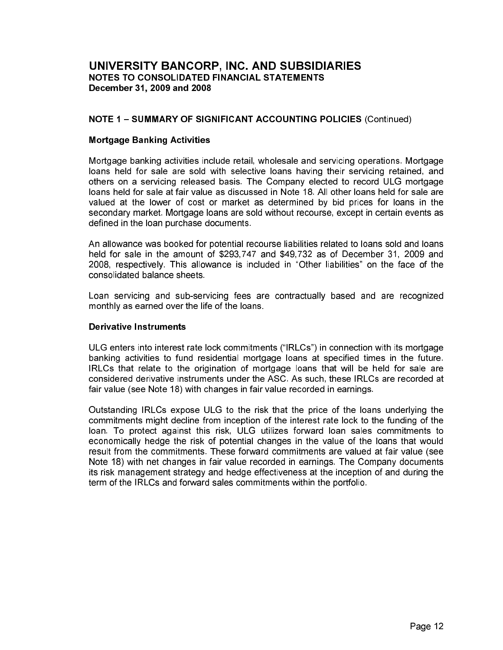#### **NOTE 1 - SUMMARY OF SIGNIFICANT ACCOUNTING POLICIES (Continued)**

#### **Mortgage Banking Activities**

Mortgage banking activities include retail, wholesale and servicing operations. Mortgage loans held for sale are sold with selective loans having their servicing retained, and others on a servicing released basis. The Company elected to record ULG mortgage loans held for sale at fair value as discussed in Note 18. All other loans held for sale are valued at the lower of cost or market as determined by bid prices for loans in the secondary market. Mortgage loans are sold without recourse, except in certain events as defined in the loan purchase documents.

An allowance was booked for potential recourse liabilities related to loans sold and loans held for sale in the amount of \$293,747 and \$49,732 as of December 31, 2009 and 2008, respectively. This allowance is included in "Other liabilities" on the face of the consolidated balance sheets.

Loan servicing and sub-servicing fees are contractually based and are recognized monthly as earned over the life of the loans.

#### **Derivative Instruments**

ULG enters into interest rate lock commitments ("IRLCs") in connection with its mortgage banking activities to fund residential mortgage loans at specified times in the future. IRLCs that relate to the origination of mortgage loans that will be held for sale are considered derivative instruments under the ASC. As such, these IRLCs are recorded at fair value (see Note 18) with changes in fair value recorded in earnings.

Outstanding IRLCs expose ULG to the risk that the price of the loans underlying the commitments might decline from inception of the interest rate lock to the funding of the loan. To protect against this risk, ULG utilizes forward loan sales commitments to economically hedge the risk of potential changes in the value of the loans that would result from the commitments. These forward commitments are valued at fair value (see Note 18) with net changes in fair value recorded in earnings. The Company documents its risk management strategy and hedge effectiveness at the inception of and during the term of the IRLCs and forward sales commitments within the portfolio.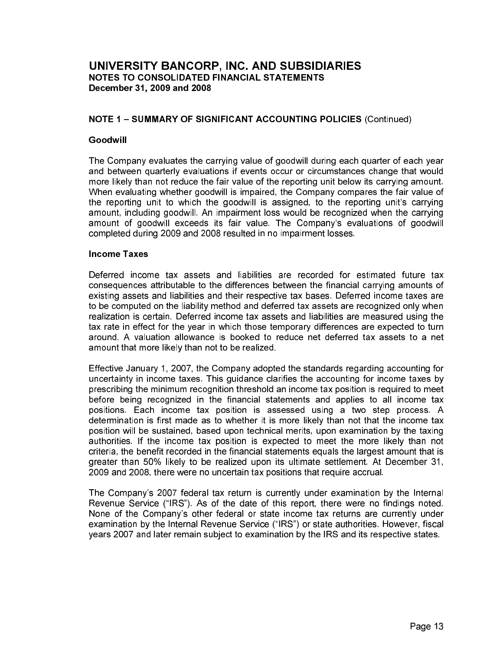#### **NOTE 1 - SUMMARY OF SIGNIFICANT ACCOUNTING POLICIES (Continued)**

#### Goodwill

The Company evaluates the carrying value of goodwill during each quarter of each year and between quarterly evaluations if events occur or circumstances change that would more likely than not reduce the fair value of the reporting unit below its carrying amount. When evaluating whether goodwill is impaired, the Company compares the fair value of the reporting unit to which the goodwill is assigned, to the reporting unit's carrying amount, including goodwill. An impairment loss would be recognized when the carrying amount of goodwill exceeds its fair value. The Company's evaluations of goodwill completed during 2009 and 2008 resulted in no impairment losses.

#### **Income Taxes**

Deferred income tax assets and liabilities are recorded for estimated future tax consequences attributable to the differences between the financial carrying amounts of existing assets and liabilities and their respective tax bases. Deferred income taxes are to be computed on the liability method and deferred tax assets are recognized only when realization is certain. Deferred income tax assets and liabilities are measured using the tax rate in effect for the year in which those temporary differences are expected to turn around. A valuation allowance is booked to reduce net deferred tax assets to a net amount that more likely than not to be realized.

Effective January 1, 2007, the Company adopted the standards regarding accounting for uncertainty in income taxes. This guidance clarifies the accounting for income taxes by prescribing the minimum recognition threshold an income tax position is required to meet before being recognized in the financial statements and applies to all income tax positions. Each income tax position is assessed using a two step process. A determination is first made as to whether it is more likely than not that the income tax position will be sustained, based upon technical merits, upon examination by the taxing authorities. If the income tax position is expected to meet the more likely than not criteria, the benefit recorded in the financial statements equals the largest amount that is greater than 50% likely to be realized upon its ultimate settlement. At December 31, 2009 and 2008, there were no uncertain tax positions that require accrual.

The Company's 2007 federal tax return is currently under examination by the Internal Revenue Service ("IRS"). As of the date of this report, there were no findings noted. None of the Company's other federal or state income tax returns are currently under examination by the Internal Revenue Service ("IRS") or state authorities. However, fiscal years 2007 and later remain subject to examination by the IRS and its respective states.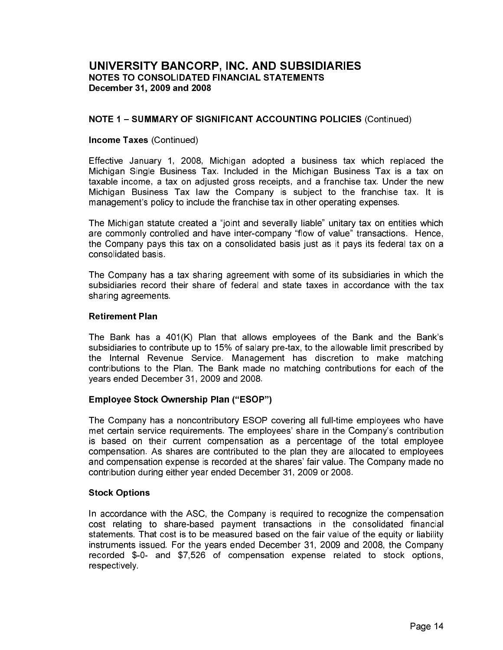# NOTE 1 - SUMMARY OF SIGNIFICANT ACCOUNTING POLICIES (Continued)

#### **Income Taxes (Continued)**

Effective January 1, 2008, Michigan adopted a business tax which replaced the Michigan Single Business Tax. Included in the Michigan Business Tax is a tax on taxable income, a tax on adjusted gross receipts, and a franchise tax. Under the new Michigan Business Tax law the Company is subject to the franchise tax. It is management's policy to include the franchise tax in other operating expenses.

The Michigan statute created a "joint and severally liable" unitary tax on entities which are commonly controlled and have inter-company "flow of value" transactions. Hence, the Company pays this tax on a consolidated basis just as it pays its federal tax on a consolidated basis.

The Company has a tax sharing agreement with some of its subsidiaries in which the subsidiaries record their share of federal and state taxes in accordance with the tax sharing agreements.

#### **Retirement Plan**

The Bank has a 401(K) Plan that allows employees of the Bank and the Bank's subsidiaries to contribute up to 15% of salary pre-tax, to the allowable limit prescribed by the Internal Revenue Service. Management has discretion to make matching contributions to the Plan. The Bank made no matching contributions for each of the years ended December 31, 2009 and 2008.

#### **Employee Stock Ownership Plan ("ESOP")**

The Company has a noncontributory ESOP covering all full-time employees who have met certain service requirements. The employees' share in the Company's contribution is based on their current compensation as a percentage of the total employee compensation. As shares are contributed to the plan they are allocated to employees and compensation expense is recorded at the shares' fair value. The Company made no contribution during either year ended December 31, 2009 or 2008.

#### **Stock Options**

In accordance with the ASC, the Company is required to recognize the compensation cost relating to share-based payment transactions in the consolidated financial statements. That cost is to be measured based on the fair value of the equity or liability instruments issued. For the years ended December 31, 2009 and 2008, the Company recorded \$-0- and \$7,526 of compensation expense related to stock options, respectively.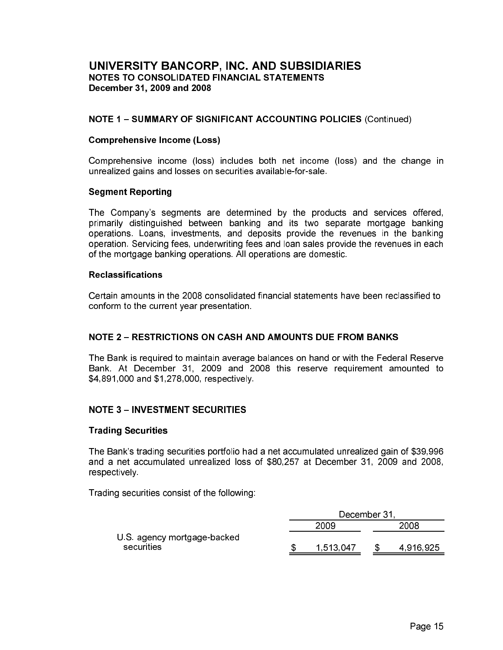#### **NOTE 1 - SUMMARY OF SIGNIFICANT ACCOUNTING POLICIES (Continued)**

#### **Comprehensive Income (Loss)**

Comprehensive income (loss) includes both net income (loss) and the change in unrealized gains and losses on securities available-for-sale.

#### **Segment Reporting**

The Company's segments are determined by the products and services offered, primarily distinguished between banking and its two separate mortgage banking operations. Loans, investments, and deposits provide the revenues in the banking operation. Servicing fees, underwriting fees and loan sales provide the revenues in each of the mortgage banking operations. All operations are domestic.

#### **Reclassifications**

Certain amounts in the 2008 consolidated financial statements have been reclassified to conform to the current year presentation.

#### NOTE 2 - RESTRICTIONS ON CASH AND AMOUNTS DUE FROM BANKS

The Bank is required to maintain average balances on hand or with the Federal Reserve Bank. At December 31, 2009 and 2008 this reserve requirement amounted to \$4,891,000 and \$1,278,000, respectively.

#### **NOTE 3 - INVESTMENT SECURITIES**

#### **Trading Securities**

The Bank's trading securities portfolio had a net accumulated unrealized gain of \$39,996 and a net accumulated unrealized loss of \$80,257 at December 31, 2009 and 2008, respectively

Trading securities consist of the following:

|                             | December 31 |  |           |  |  |
|-----------------------------|-------------|--|-----------|--|--|
|                             | 2009        |  | 2008      |  |  |
| U.S. agency mortgage-backed |             |  |           |  |  |
| securities                  | 1 513 047   |  | 4 916 925 |  |  |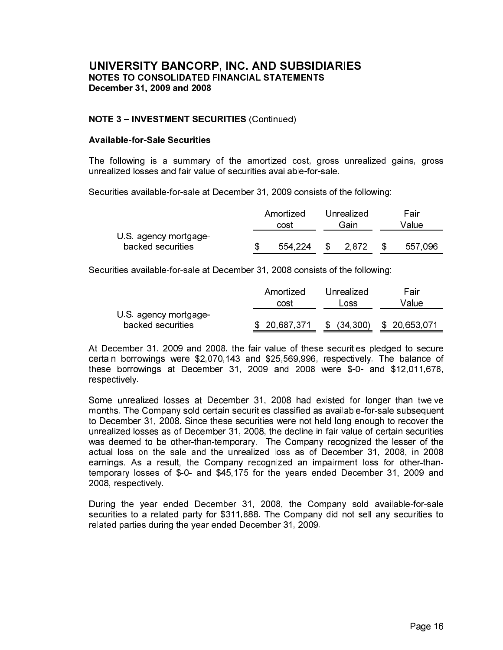#### **NOTE 3 - INVESTMENT SECURITIES (Continued)**

#### **Available-for-Sale Securities**

The following is a summary of the amortized cost, gross unrealized gains, gross unrealized losses and fair value of securities available-for-sale.

Securities available-for-sale at December 31, 2009 consists of the following:

|                                            |  | Amortized | Unrealized |      | Fair  |         |
|--------------------------------------------|--|-----------|------------|------|-------|---------|
|                                            |  | cost      | Gain       |      | Value |         |
| U.S. agency mortgage-<br>backed securities |  | 554 224   |            | 2872 |       | 557 096 |

Securities available-for-sale at December 31, 2008 consists of the following:

|                       | Amortized    | Unrealized      | Fair         |
|-----------------------|--------------|-----------------|--------------|
|                       | cost         | Loss            | Value        |
| U.S. agency mortgage- |              |                 |              |
| backed securities     | \$20,687,371 | (34, 300)<br>S. | \$20,653,071 |

At December 31, 2009 and 2008, the fair value of these securities pledged to secure certain borrowings were \$2,070,143 and \$25,569,996, respectively. The balance of these borrowings at December 31, 2009 and 2008 were  $$-0$ - and  $$12,011,678$ , respectively.

Some unrealized losses at December 31, 2008 had existed for longer than twelve months. The Company sold certain securities classified as available-for-sale subsequent to December 31, 2008. Since these securities were not held long enough to recover the unrealized losses as of December 31, 2008, the decline in fair value of certain securities was deemed to be other-than-temporary. The Company recognized the lesser of the actual loss on the sale and the unrealized loss as of December 31, 2008, in 2008 earnings. As a result, the Company recognized an impairment loss for other-thantemporary losses of \$-0- and \$45,175 for the years ended December 31, 2009 and 2008, respectively.

During the year ended December 31, 2008, the Company sold available-for-sale securities to a related party for \$311,888. The Company did not sell any securities to related parties during the year ended December 31, 2009.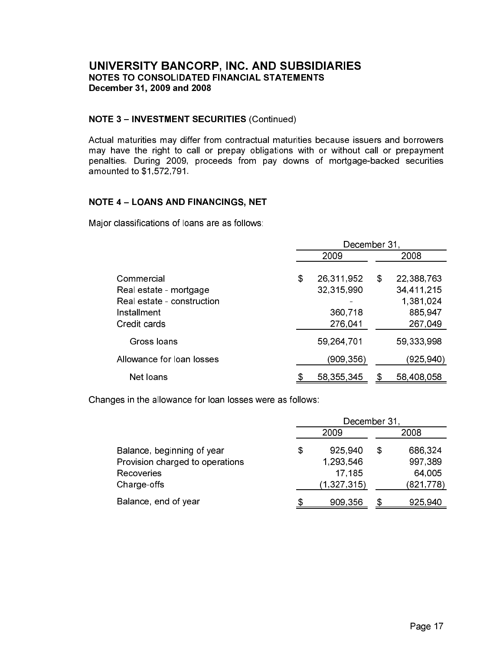#### **NOTE 3 - INVESTMENT SECURITIES (Continued)**

Actual maturities may differ from contractual maturities because issuers and borrowers may have the right to call or prepay obligations with or without call or prepayment penalties. During 2009, proceeds from pay downs of mortgage-backed securities amounted to \$1,572,791.

# **NOTE 4 - LOANS AND FINANCINGS, NET**

Major classifications of loans are as follows:

|                                                                                                   | December 31 |                                                |    |                                                             |
|---------------------------------------------------------------------------------------------------|-------------|------------------------------------------------|----|-------------------------------------------------------------|
|                                                                                                   |             | 2009                                           |    | 2008                                                        |
| Commercial<br>Real estate - mortgage<br>Real estate - construction<br>Installment<br>Credit cards | \$          | 26,311,952<br>32,315,990<br>360,718<br>276,041 | \$ | 22,388,763<br>34,411,215<br>1,381,024<br>885,947<br>267,049 |
| Gross loans                                                                                       |             | 59,264,701                                     |    | 59,333,998                                                  |
| Allowance for loan losses                                                                         |             | (909,356)                                      |    | (925,940)                                                   |
| Net loans                                                                                         |             | 58 355 345                                     |    | 58,408,058                                                  |

Changes in the allowance for loan losses were as follows:

|                                 | December 31 |               |   |           |
|---------------------------------|-------------|---------------|---|-----------|
|                                 |             | 2009          |   | 2008      |
| Balance, beginning of year      | \$          | 925,940       | S | 686,324   |
| Provision charged to operations |             | 1,293,546     |   | 997,389   |
| Recoveries                      |             | 17.185        |   | 64,005    |
| Charge-offs                     |             | (1, 327, 315) |   | (821,778) |
| Balance, end of year            |             | 909,356       |   | 925,940   |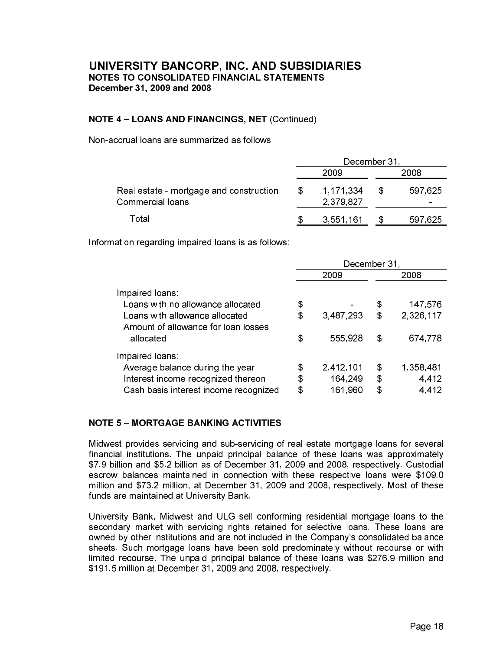# **NOTE 4 - LOANS AND FINANCINGS, NET (Continued)**

Non-accrual loans are summarized as follows:

|                                                             | December 31 |                            |   |         |
|-------------------------------------------------------------|-------------|----------------------------|---|---------|
|                                                             |             | 2009                       |   | 2008    |
| Real estate - mortgage and construction<br>Commercial loans | SS.         | 1 171 334<br>2 3 7 9 8 2 7 | S | 597 625 |
| Total                                                       |             | 3,551,161                  |   | 597 625 |

Information regarding impaired loans is as follows:

|                                                                       | December 31 |           |    |           |
|-----------------------------------------------------------------------|-------------|-----------|----|-----------|
|                                                                       |             | 2009      |    | 2008      |
| Impaired loans:                                                       |             |           |    |           |
| Loans with no allowance allocated                                     | \$          |           | \$ | 147,576   |
| Loans with allowance allocated<br>Amount of allowance for loan losses | \$          | 3,487,293 | \$ | 2,326,117 |
| allocated                                                             | \$          | 555 928   | \$ | 674,778   |
| Impaired loans:                                                       |             |           |    |           |
| Average balance during the year                                       | \$          | 2,412,101 | \$ | 1,358,481 |
| Interest income recognized thereon                                    | \$          | 164,249   | \$ | 4,412     |
| Cash basis interest income recognized                                 | \$          | 161,960   | \$ | 4 4 1 2   |

# **NOTE 5 - MORTGAGE BANKING ACTIVITIES**

Midwest provides servicing and sub-servicing of real estate mortgage loans for several financial institutions. The unpaid principal balance of these loans was approximately \$7.9 billion and \$5.2 billion as of December 31, 2009 and 2008, respectively. Custodial escrow balances maintained in connection with these respective loans were \$109.0 million and \$73.2 million, at December 31, 2009 and 2008, respectively. Most of these funds are maintained at University Bank.

University Bank, Midwest and ULG sell conforming residential mortgage loans to the secondary market with servicing rights retained for selective loans. These loans are owned by other institutions and are not included in the Company's consolidated balance sheets. Such mortgage loans have been sold predominately without recourse or with limited recourse. The unpaid principal balance of these loans was \$276.9 million and \$191.5 million at December 31, 2009 and 2008, respectively.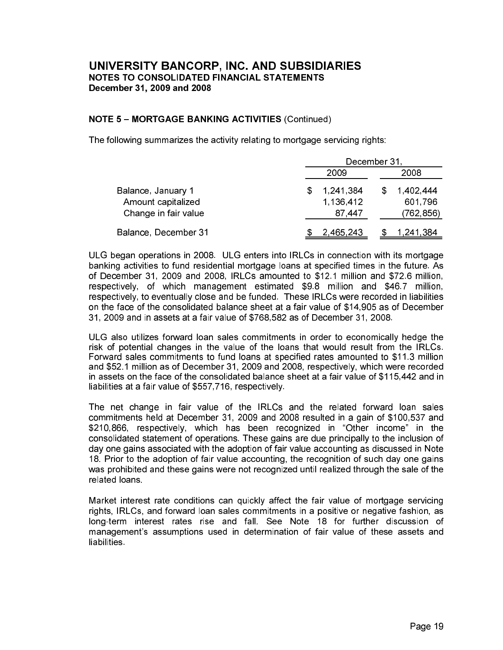#### **NOTE 5-MORTGAGE BANKING ACTIVITIES (Continued)**

The following summarizes the activity relating to mortgage servicing rights:

|                      | December 31, |           |  |           |
|----------------------|--------------|-----------|--|-----------|
|                      |              | 2009      |  | 2008      |
| Balance, January 1   |              | 1,241,384 |  | 1,402,444 |
| Amount capitalized   |              | 1 136 412 |  | 601,796   |
| Change in fair value |              | 87 447    |  | (762,856) |
| Balance, December 31 |              | 2 465 243 |  | 1 241 384 |

ULG began operations in 2008. ULG enters into IRLCs in connection with its mortgage banking activities to fund residential mortgage loans at specified times in the future. As of December 31, 2009 and 2008, IRLCs amounted to \$12.1 million and \$72.6 million, respectively, of which management estimated \$9.8 million and \$46.7 million, respectively, to eventually close and be funded. These IRLCs were recorded in liabilities on the face of the consolidated balance sheet at a fair value of \$14,905 as of December 31, 2009 and in assets at a fair value of \$768,582 as of December 31, 2008.

ULG also utilizes forward loan sales commitments in order to economically hedge the risk of potential changes in the value of the loans that would result from the IRLCs. Forward sales commitments to fund loans at specified rates amounted to \$11.3 million and \$52.1 million as of December 31, 2009 and 2008, respectively, which were recorded in assets on the face of the consolidated balance sheet at a fair value of \$115,442 and in liabilities at a fair value of \$557,716, respectively.

The net change in fair value of the IRLCs and the related forward loan sales commitments held at December 31, 2009 and 2008 resulted in a gain of \$100,537 and \$210,866, respectively, which has been recognized in "Other income" in the consolidated statement of operations. These gains are due principally to the inclusion of day one gains associated with the adoption of fair value accounting as discussed in Note 18. Prior to the adoption of fair value accounting, the recognition of such day one gains was prohibited and these gains were not recognized until realized through the sale of the related loans.

Market interest rate conditions can quickly affect the fair value of mortgage servicing rights, IRLCs, and forward loan sales commitments in a positive or negative fashion. as long-term interest rates rise and fall. See Note 18 for further discussion of management's assumptions used in determination of fair value of these assets and **liabilities**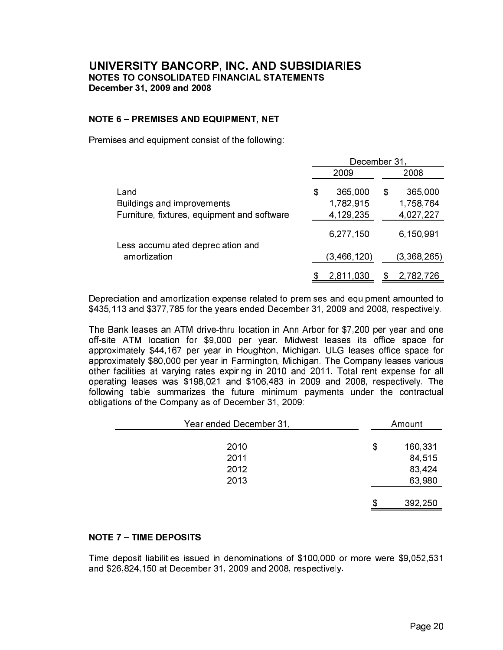#### **NOTE 6 - PREMISES AND EQUIPMENT, NET**

Premises and equipment consist of the following:

|                                             | December 31 |             |   |             |
|---------------------------------------------|-------------|-------------|---|-------------|
|                                             |             | 2009        |   | 2008        |
| Land                                        | \$          | 365,000     | S | 365,000     |
| Buildings and improvements                  |             | 1,782,915   |   | 1,758,764   |
| Furniture, fixtures, equipment and software |             | 4,129,235   |   | 4,027,227   |
| Less accumulated depreciation and           |             | 6,277,150   |   | 6,150,991   |
| amortization                                |             | (3,466,120) |   | (3,368,265) |
|                                             |             | 2,811,030   |   | 2,782,726   |

Depreciation and amortization expense related to premises and equipment amounted to \$435,113 and \$377,785 for the years ended December 31, 2009 and 2008, respectively.

The Bank leases an ATM drive-thru location in Ann Arbor for \$7,200 per year and one off-site ATM location for \$9,000 per year. Midwest leases its office space for approximately \$44,167 per year in Houghton, Michigan. ULG leases office space for approximately \$80,000 per year in Farmington, Michigan. The Company leases various other facilities at varying rates expiring in 2010 and 2011. Total rent expense for all operating leases was \$198,021 and \$106,483 in 2009 and 2008, respectively. The following table summarizes the future minimum payments under the contractual obligations of the Company as of December 31, 2009:

| Year ended December 31, |    | Amount  |
|-------------------------|----|---------|
| 2010                    | \$ | 160,331 |
| 2011                    |    | 84,515  |
| 2012                    |    | 83,424  |
| 2013                    |    | 63,980  |
|                         | S  | 392,250 |

#### **NOTE 7 - TIME DEPOSITS**

Time deposit liabilities issued in denominations of \$100,000 or more were \$9,052,531 and \$26,824,150 at December 31, 2009 and 2008, respectively.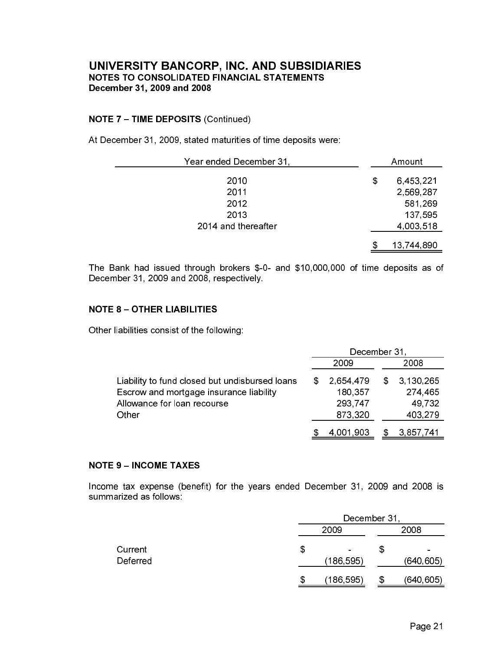#### **NOTE 7 - TIME DEPOSITS (Continued)**

At December 31, 2009, stated maturities of time deposits were:

| Year ended December 31, | Amount          |
|-------------------------|-----------------|
| 2010                    | \$<br>6,453,221 |
| 2011                    | 2,569,287       |
| 2012                    | 581,269         |
| 2013                    | 137,595         |
| 2014 and thereafter     | 4,003,518       |
|                         | 13,744,890      |

The Bank had issued through brokers \$-0- and \$10,000,000 of time deposits as of December 31, 2009 and 2008, respectively.

#### **NOTE 8 - OTHER LIABILITIES**

Other liabilities consist of the following:

|                                                | December 31 |           |     |           |
|------------------------------------------------|-------------|-----------|-----|-----------|
|                                                |             | 2009      |     | 2008      |
| Liability to fund closed but undisbursed loans | S           | 2,654,479 | SS. | 3 130 265 |
| Escrow and mortgage insurance liability        |             | 180,357   |     | 274,465   |
| Allowance for loan recourse                    |             | 293,747   |     | 49.732    |
| Other                                          |             | 873.320   |     | 403,279   |
|                                                |             | 4,001,903 |     | 3,857,741 |

#### **NOTE 9 - INCOME TAXES**

Income tax expense (benefit) for the years ended December 31, 2009 and 2008 is summarized as follows:

|                     |    | December 31                 |    |                              |  |
|---------------------|----|-----------------------------|----|------------------------------|--|
|                     |    | 2009                        |    | 2008                         |  |
| Current<br>Deferred | \$ | $\blacksquare$<br>(186,595) | \$ | $\blacksquare$<br>(640, 605) |  |
|                     | S  | (186,595)                   |    | (640,605)                    |  |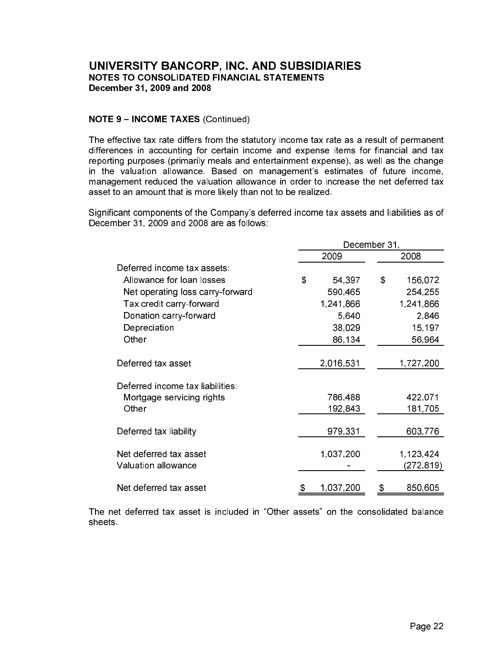# **NOTE 9 - INCOME TAXES (Continued)**

The effective tax rate differs from the statutory income tax rate as a result of permanent differences in accounting for certain income and expense items for financial and tax reporting purposes (primarily meals and entertainment expense), as well as the change in the valuation allowance. Based on management's estimates of future income, management reduced the valuation allowance in order to increase the net deferred tax asset to an amount that is more likely than not to be realized.

Significant components of the Company's deferred income tax assets and liabilities as of December 31, 2009 and 2008 are as follows:

|                                  | December 31  |                   |  |  |  |
|----------------------------------|--------------|-------------------|--|--|--|
|                                  | 2009         | 2008              |  |  |  |
| Deferred income tax assets.      |              |                   |  |  |  |
| Allowance for loan losses        | \$<br>54,397 | \$<br>156,072     |  |  |  |
| Net operating loss carry-forward | 590,465      | 254,255           |  |  |  |
| Tax credit carry-forward         | 1,241,866    | 1,241,866         |  |  |  |
| Donation carry-forward           | 5,640        | 2,846             |  |  |  |
| Depreciation                     | 38,029       | 15,197            |  |  |  |
| Other                            | 86,134       | 56,964            |  |  |  |
| Deferred tax asset               | 2,016,531    | 1,727,200         |  |  |  |
| Deferred income tax liabilities. |              |                   |  |  |  |
| Mortgage servicing rights        | 786,488      | 422,071           |  |  |  |
| Other                            | 192,843      | 181,705           |  |  |  |
| Deferred tax liability           | 979,331      | 603,776           |  |  |  |
| Net deferred tax asset           | 1,037,200    | 1,123,424         |  |  |  |
| Valuation allowance              |              | (272, <u>819)</u> |  |  |  |
| Net deferred tax asset           | 1,037,200    | 850,605<br>\$     |  |  |  |

The net deferred tax asset is included in "Other assets" on the consolidated balance sheets.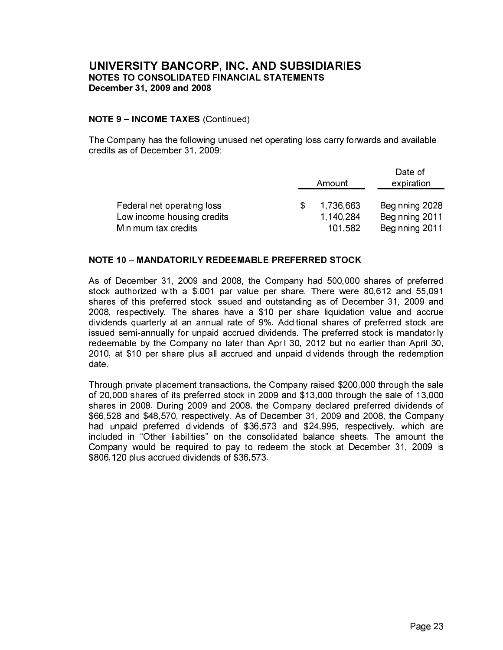#### **NOTE 9 - INCOME TAXES (Continued)**

The Company has the following unused net operating loss carry forwards and available credits as of December 31, 2009;

|                            |           | Date of        |  |  |
|----------------------------|-----------|----------------|--|--|
|                            | Amount    | expiration     |  |  |
|                            |           |                |  |  |
| Federal net operating loss | 1 736 663 | Beginning 2028 |  |  |
| Low income housing credits | 1,140,284 | Beginning 2011 |  |  |
| Minimum tax credits        | 101 582   | Beginning 2011 |  |  |

# **NOTE 10 - MANDATORILY REDEEMABLE PREFERRED STOCK**

As of December 31, 2009 and 2008, the Company had 500,000 shares of preferred stock authorized with a \$.001 par value per share. There were 80,612 and 55,091 shares of this preferred stock issued and outstanding as of December 31, 2009 and 2008, respectively. The shares have a \$10 per share liquidation value and accrue dividends quarterly at an annual rate of 9%. Additional shares of preferred stock are issued semi-annually for unpaid accrued dividends. The preferred stock is mandatorily redeemable by the Company no later than April 30, 2012 but no earlier than April 30, 2010, at \$10 per share plus all accrued and unpaid dividends through the redemption date

Through private placement transactions, the Company raised \$200,000 through the sale of 20,000 shares of its preferred stock in 2009 and \$13,000 through the sale of 13,000 shares in 2008. During 2009 and 2008, the Company declared preferred dividends of \$66,528 and \$48,570, respectively. As of December 31, 2009 and 2008, the Company had unpaid preferred dividends of \$36,573 and \$24,995, respectively, which are included in "Other liabilities" on the consolidated balance sheets. The amount the Company would be required to pay to redeem the stock at December 31, 2009 is \$806,120 plus accrued dividends of \$36,573.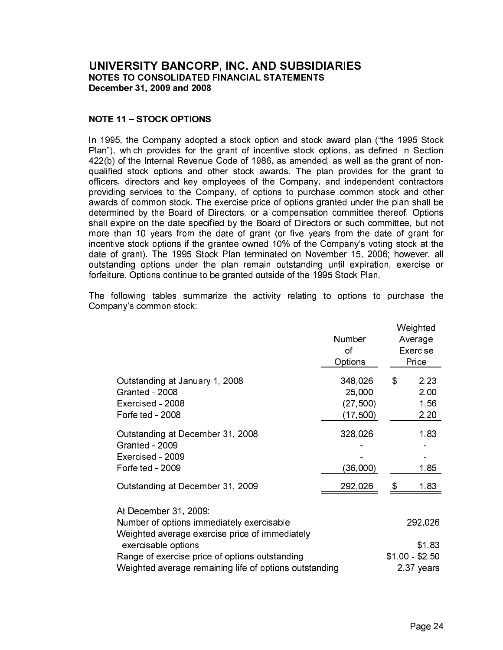#### **NOTE 11 - STOCK OPTIONS**

In 1995, the Company adopted a stock option and stock award plan ("the 1995 Stock Plan"), which provides for the grant of incentive stock options, as defined in Section 422(b) of the Internal Revenue Code of 1986, as amended, as well as the grant of nonqualified stock options and other stock awards. The plan provides for the grant to officers, directors and key employees of the Company, and independent contractors providing services to the Company, of options to purchase common stock and other awards of common stock. The exercise price of options granted under the plan shall be determined by the Board of Directors, or a compensation committee thereof. Options shall expire on the date specified by the Board of Directors or such committee, but not more than 10 years from the date of grant (or five years from the date of grant for incentive stock options if the grantee owned 10% of the Company's voting stock at the date of grant). The 1995 Stock Plan terminated on November 15, 2006; however, all outstanding options under the plan remain outstanding until expiration, exercise or forfeiture. Options continue to be granted outside of the 1995 Stock Plan.

The following tables summarize the activity relating to options to purchase the Company's common stock:

|                                                                                                                                 | Number<br>οf<br>Options                     | Weighted<br>Average<br>Exercise<br>Price |
|---------------------------------------------------------------------------------------------------------------------------------|---------------------------------------------|------------------------------------------|
| Outstanding at January 1, 2008<br>Granted - 2008<br>Exercised - 2008<br>Forfeited - 2008                                        | 348,026<br>25,000<br>(27, 500)<br>(17, 500) | \$<br>2 2 3<br>2.00<br>1.56<br>2.20      |
| Outstanding at December 31, 2008<br>Granted - 2009<br>Exercised - 2009<br>Forfeited - 2009                                      | 328,026<br>(36,000)                         | 1.83<br>185                              |
| Outstanding at December 31, 2009                                                                                                | 292,026                                     | \$<br>183                                |
| At December 31, 2009:<br>Number of options immediately exercisable<br>Weighted average exercise price of immediately            |                                             | 292,026                                  |
| exercisable options<br>Range of exercise price of options outstanding<br>Weighted average remaining life of options outstanding |                                             | \$1.83<br>$$100 - $250$<br>2.37 years    |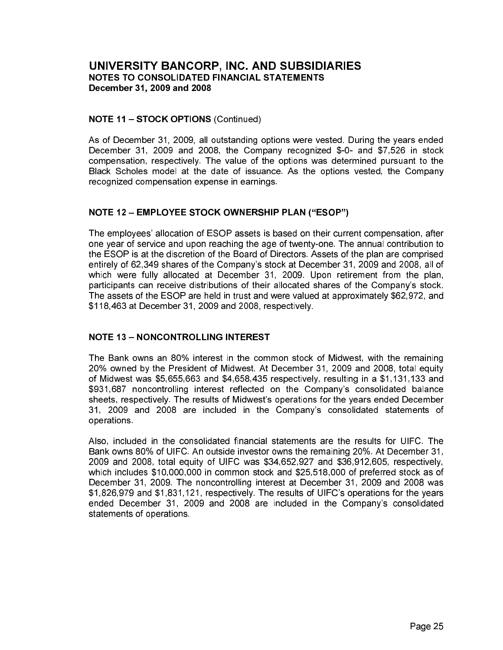#### **NOTE 11 - STOCK OPTIONS (Continued)**

As of December 31, 2009, all outstanding options were vested. During the years ended December 31, 2009 and 2008, the Company recognized \$-0- and \$7,526 in stock compensation, respectively. The value of the options was determined pursuant to the Black Scholes model at the date of issuance. As the options vested, the Company recognized compensation expense in earnings.

# **NOTE 12 - EMPLOYEE STOCK OWNERSHIP PLAN ("ESOP")**

The employees' allocation of ESOP assets is based on their current compensation, after one year of service and upon reaching the age of twenty-one. The annual contribution to the ESOP is at the discretion of the Board of Directors. Assets of the plan are comprised entirely of 62,349 shares of the Company's stock at December 31, 2009 and 2008, all of which were fully allocated at December 31, 2009. Upon retirement from the plan, participants can receive distributions of their allocated shares of the Company's stock. The assets of the ESOP are held in trust and were valued at approximately \$62,972, and \$118,463 at December 31, 2009 and 2008, respectively.

# **NOTE 13 - NONCONTROLLING INTEREST**

The Bank owns an 80% interest in the common stock of Midwest, with the remaining 20% owned by the President of Midwest. At December 31, 2009 and 2008, total equity of Midwest was \$5,655,663 and \$4,658,435 respectively, resulting in a \$1,131,133 and \$931,687 noncontrolling interest reflected on the Company's consolidated balance sheets, respectively. The results of Midwest's operations for the years ended December 31, 2009 and 2008 are included in the Company's consolidated statements of operations

Also, included in the consolidated financial statements are the results for UIFC. The Bank owns 80% of UIFC. An outside investor owns the remaining 20%. At December 31, 2009 and 2008, total equity of UIFC was \$34,652,927 and \$36,912,605, respectively, which includes \$10,000,000 in common stock and \$25,518,000 of preferred stock as of December 31, 2009. The noncontrolling interest at December 31, 2009 and 2008 was \$1,826,979 and \$1,831,121, respectively. The results of UIFC's operations for the years ended December 31, 2009 and 2008 are included in the Company's consolidated statements of operations.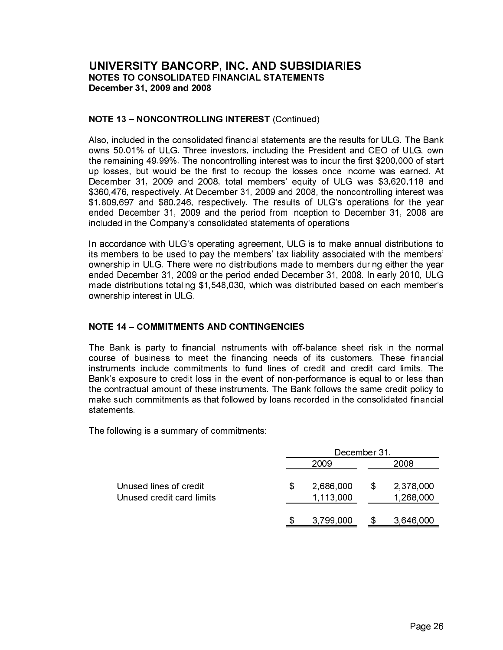#### **NOTE 13 - NONCONTROLLING INTEREST (Continued)**

Also, included in the consolidated financial statements are the results for ULG. The Bank owns 50.01% of ULG. Three investors, including the President and CEO of ULG, own the remaining 49.99%. The noncontrolling interest was to incur the first \$200,000 of start up losses, but would be the first to recoup the losses once income was earned. At December 31, 2009 and 2008, total members' equity of ULG was \$3,620,118 and \$360,476, respectively. At December 31, 2009 and 2008, the noncontrolling interest was \$1,809,697 and \$80,246, respectively. The results of ULG's operations for the year ended December 31, 2009 and the period from inception to December 31, 2008 are included in the Company's consolidated statements of operations

In accordance with ULG's operating agreement, ULG is to make annual distributions to its members to be used to pay the members' tax liability associated with the members' ownership in ULG. There were no distributions made to members during either the year ended December 31, 2009 or the period ended December 31, 2008. In early 2010, ULG made distributions totaling \$1,548,030, which was distributed based on each member's ownership interest in ULG

# **NOTE 14 - COMMITMENTS AND CONTINGENCIES**

The Bank is party to financial instruments with off-balance sheet risk in the normal course of business to meet the financing needs of its customers. These financial instruments include commitments to fund lines of credit and credit card limits. The Bank's exposure to credit loss in the event of non-performance is equal to or less than the contractual amount of these instruments. The Bank follows the same credit policy to make such commitments as that followed by loans recorded in the consolidated financial statements.

The following is a summary of commitments:

|                                                     | December 31                  |   |                        |  |  |  |  |  |
|-----------------------------------------------------|------------------------------|---|------------------------|--|--|--|--|--|
|                                                     | 2009                         |   | 2008                   |  |  |  |  |  |
| Unused lines of credit<br>Unused credit card limits | \$<br>2,686,000<br>1,113,000 | S | 2,378,000<br>1,268,000 |  |  |  |  |  |
|                                                     | 3 799 000                    |   | 3,646,000              |  |  |  |  |  |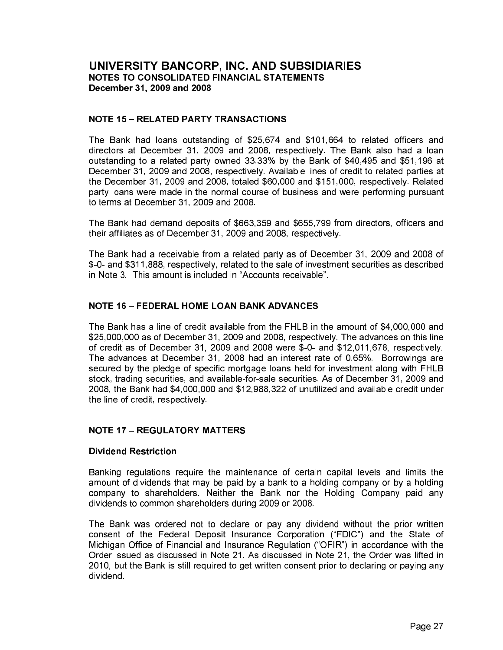#### **NOTE 15 - RELATED PARTY TRANSACTIONS**

The Bank had loans outstanding of \$25,674 and \$101,664 to related officers and directors at December 31, 2009 and 2008, respectively. The Bank also had a loan outstanding to a related party owned 33.33% by the Bank of \$40,495 and \$51,196 at December 31, 2009 and 2008, respectively. Available lines of credit to related parties at the December 31, 2009 and 2008, totaled \$60,000 and \$151,000, respectively. Related party loans were made in the normal course of business and were performing pursuant to terms at December 31, 2009 and 2008.

The Bank had demand deposits of \$663,359 and \$655,799 from directors, officers and their affiliates as of December 31, 2009 and 2008, respectively.

The Bank had a receivable from a related party as of December 31, 2009 and 2008 of \$-0- and \$311,888, respectively, related to the sale of investment securities as described in Note 3. This amount is included in "Accounts receivable".

#### **NOTE 16 - FEDERAL HOME LOAN BANK ADVANCES**

The Bank has a line of credit available from the FHLB in the amount of \$4,000,000 and \$25,000,000 as of December 31, 2009 and 2008, respectively. The advances on this line of credit as of December 31, 2009 and 2008 were \$-0- and \$12,011,678, respectively. The advances at December 31, 2008 had an interest rate of 0.65%. Borrowings are secured by the pledge of specific mortgage loans held for investment along with FHLB stock, trading securities, and available-for-sale securities. As of December 31, 2009 and 2008, the Bank had \$4,000,000 and \$12,988,322 of unutilized and available credit under the line of credit, respectively.

# **NOTE 17 - REGULATORY MATTERS**

#### **Dividend Restriction**

Banking regulations require the maintenance of certain capital levels and limits the amount of dividends that may be paid by a bank to a holding company or by a holding company to shareholders. Neither the Bank nor the Holding Company paid any dividends to common shareholders during 2009 or 2008.

The Bank was ordered not to declare or pay any dividend without the prior written consent of the Federal Deposit Insurance Corporation ("FDIC") and the State of Michigan Office of Financial and Insurance Regulation ("OFIR") in accordance with the Order issued as discussed in Note 21. As discussed in Note 21, the Order was lifted in 2010, but the Bank is still required to get written consent prior to declaring or paying any dividend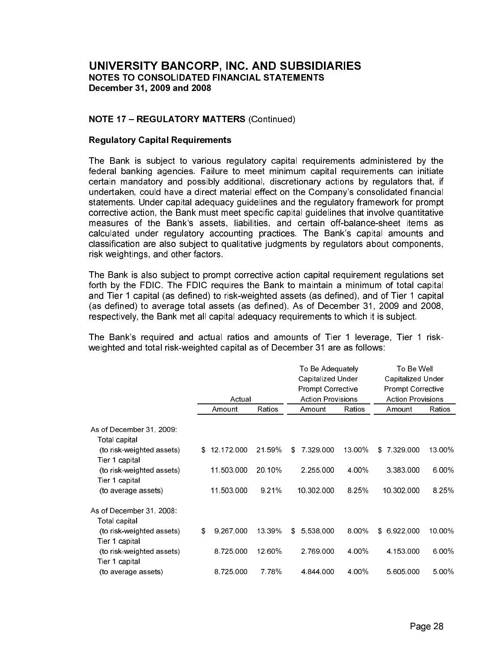#### **NOTE 17 - REGULATORY MATTERS (Continued)**

#### **Regulatory Capital Requirements**

The Bank is subject to various regulatory capital requirements administered by the federal banking agencies. Failure to meet minimum capital requirements can initiate certain mandatory and possibly additional, discretionary actions by regulators that, if undertaken, could have a direct material effect on the Company's consolidated financial statements. Under capital adequacy guidelines and the regulatory framework for prompt corrective action, the Bank must meet specific capital guidelines that involve quantitative measures of the Bank's assets, liabilities, and certain off-balance-sheet items as calculated under regulatory accounting practices. The Bank's capital amounts and classification are also subject to qualitative judgments by regulators about components, risk weightings, and other factors.

The Bank is also subject to prompt corrective action capital requirement regulations set forth by the FDIC. The FDIC requires the Bank to maintain a minimum of total capital and Tier 1 capital (as defined) to risk-weighted assets (as defined), and of Tier 1 capital (as defined) to average total assets (as defined). As of December 31, 2009 and 2008, respectively, the Bank met all capital adequacy requirements to which it is subject.

The Bank's required and actual ratios and amounts of Tier 1 leverage, Tier 1 riskweighted and total risk-weighted capital as of December 31 are as follows:

|                           |    |              |         | To Be Adequately         |        | To Be Well               |         |  |  |
|---------------------------|----|--------------|---------|--------------------------|--------|--------------------------|---------|--|--|
|                           |    |              |         | Capitalized Under        |        | Capitalized Under        |         |  |  |
|                           |    |              |         | <b>Prompt Corrective</b> |        | <b>Prompt Corrective</b> |         |  |  |
|                           |    | Actual       |         | <b>Action Provisions</b> |        | <b>Action Provisions</b> |         |  |  |
|                           |    | Amount       | Ratios  | Amount                   | Ratios |                          | Ratios  |  |  |
| As of December 31, 2009.  |    |              |         |                          |        |                          |         |  |  |
| Total capital             |    |              |         |                          |        |                          |         |  |  |
| (to risk-weighted assets) | \$ | 12, 172, 000 | 21 59%  | 7 329 000<br>\$          | 13.00% | 7 329 000<br>\$          | 13.00%  |  |  |
| Tier 1 capital            |    |              |         |                          |        |                          |         |  |  |
| (to risk-weighted assets) |    | 11,503,000   | 20.10%  | 2,255,000                | 4 00%  | 3,383,000                | 6.00%   |  |  |
| Tier 1 capital            |    |              |         |                          |        |                          |         |  |  |
| (to average assets)       |    | 11,503,000   | 9 2 1 % | 10,302,000               | 8.25%  | 10,302,000               | 8 2 5 % |  |  |
| As of December 31, 2008:  |    |              |         |                          |        |                          |         |  |  |
| Total capital             |    |              |         |                          |        |                          |         |  |  |
| (to risk-weighted assets) | S  | 9,267,000    | 13 39%  | 5 538 000<br>S.          | 8.00%  | 6,922,000<br>S.          | 10.00%  |  |  |
| Tier 1 capital            |    |              |         |                          |        |                          |         |  |  |
| (to risk-weighted assets) |    | 8,725,000    | 12.60%  | 2,769,000                | 4.00%  | 4 153,000                | 6.00%   |  |  |
| Tier 1 capital            |    |              |         |                          |        |                          |         |  |  |
| (to average assets)       |    | 8,725,000    | 778%    | 4,844,000                | 4 00%  | 5,605,000                | 5.00%   |  |  |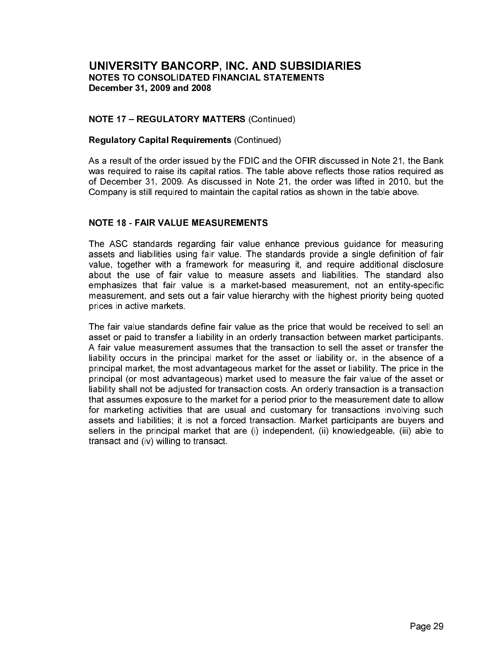#### **NOTE 17 - REGULATORY MATTERS (Continued)**

#### **Regulatory Capital Requirements (Continued)**

As a result of the order issued by the FDIC and the OFIR discussed in Note 21, the Bank was required to raise its capital ratios. The table above reflects those ratios required as of December 31, 2009. As discussed in Note 21, the order was lifted in 2010, but the Company is still required to maintain the capital ratios as shown in the table above.

#### **NOTE 18 - FAIR VALUE MEASUREMENTS**

The ASC standards regarding fair value enhance previous guidance for measuring assets and liabilities using fair value. The standards provide a single definition of fair value, together with a framework for measuring it, and require additional disclosure about the use of fair value to measure assets and liabilities. The standard also emphasizes that fair value is a market-based measurement, not an entity-specific measurement, and sets out a fair value hierarchy with the highest priority being quoted prices in active markets

The fair value standards define fair value as the price that would be received to sell an asset or paid to transfer a liability in an orderly transaction between market participants. A fair value measurement assumes that the transaction to sell the asset or transfer the liability occurs in the principal market for the asset or liability or, in the absence of a principal market, the most advantageous market for the asset or liability. The price in the principal (or most advantageous) market used to measure the fair value of the asset or liability shall not be adjusted for transaction costs. An orderly transaction is a transaction that assumes exposure to the market for a period prior to the measurement date to allow for marketing activities that are usual and customary for transactions involving such assets and liabilities; it is not a forced transaction. Market participants are buyers and sellers in the principal market that are (i) independent, (ii) knowledgeable, (iii) able to transact and (iv) willing to transact.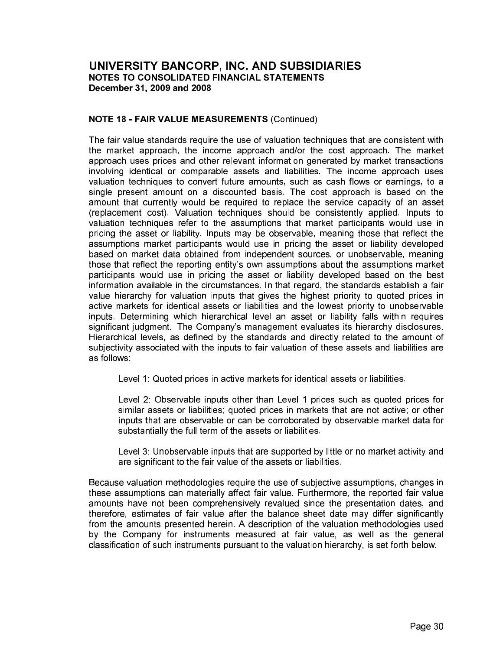#### **NOTE 18 - FAIR VALUE MEASUREMENTS (Continued)**

The fair value standards require the use of valuation techniques that are consistent with the market approach, the income approach and/or the cost approach. The market approach uses prices and other relevant information generated by market transactions involving identical or comparable assets and liabilities. The income approach uses valuation techniques to convert future amounts, such as cash flows or earnings, to a single present amount on a discounted basis. The cost approach is based on the amount that currently would be required to replace the service capacity of an asset (replacement cost). Valuation techniques should be consistently applied. Inputs to valuation techniques refer to the assumptions that market participants would use in pricing the asset or liability. Inputs may be observable, meaning those that reflect the assumptions market participants would use in pricing the asset or liability developed based on market data obtained from independent sources, or unobservable, meaning those that reflect the reporting entity's own assumptions about the assumptions market participants would use in pricing the asset or liability developed based on the best information available in the circumstances. In that regard, the standards establish a fair value hierarchy for valuation inputs that gives the highest priority to guoted prices in active markets for identical assets or liabilities and the lowest priority to unobservable inputs. Determining which hierarchical level an asset or liability falls within requires significant judgment. The Company's management evaluates its hierarchy disclosures. Hierarchical levels, as defined by the standards and directly related to the amount of subjectivity associated with the inputs to fair valuation of these assets and liabilities are as follows:

Level 1: Quoted prices in active markets for identical assets or liabilities.

Level 2: Observable inputs other than Level 1 prices such as quoted prices for similar assets or liabilities; quoted prices in markets that are not active; or other inputs that are observable or can be corroborated by observable market data for substantially the full term of the assets or liabilities.

Level 3: Unobservable inputs that are supported by little or no market activity and are significant to the fair value of the assets or liabilities.

Because valuation methodologies require the use of subjective assumptions, changes in these assumptions can materially affect fair value. Furthermore, the reported fair value amounts have not been comprehensively revalued since the presentation dates, and therefore, estimates of fair value after the balance sheet date may differ significantly from the amounts presented herein. A description of the valuation methodologies used by the Company for instruments measured at fair value, as well as the general classification of such instruments pursuant to the valuation hierarchy, is set forth below.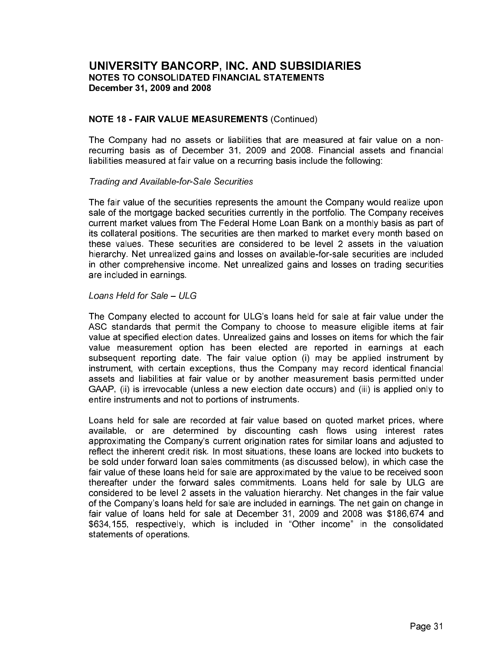#### **NOTE 18 - FAIR VALUE MEASUREMENTS (Continued)**

The Company had no assets or liabilities that are measured at fair value on a nonrecurring basis as of December 31, 2009 and 2008. Financial assets and financial liabilities measured at fair value on a recurring basis include the following:

**Trading and Available-for-Sale Securities** 

The fair value of the securities represents the amount the Company would realize upon sale of the mortgage backed securities currently in the portfolio. The Company receives current market values from The Federal Home Loan Bank on a monthly basis as part of its collateral positions. The securities are then marked to market every month based on these values. These securities are considered to be level 2 assets in the valuation hierarchy. Net unrealized gains and losses on available-for-sale securities are included in other comprehensive income. Net unrealized gains and losses on trading securities are included in earnings

#### Loans Held for Sale - ULG

The Company elected to account for ULG's loans held for sale at fair value under the ASC standards that permit the Company to choose to measure eligible items at fair value at specified election dates. Unrealized gains and losses on items for which the fair value measurement option has been elected are reported in earnings at each subsequent reporting date. The fair value option (i) may be applied instrument by instrument, with certain exceptions, thus the Company may record identical financial assets and liabilities at fair value or by another measurement basis permitted under GAAP, (ii) is irrevocable (unless a new election date occurs) and (iii) is applied only to entire instruments and not to portions of instruments.

Loans held for sale are recorded at fair value based on quoted market prices, where available, or are determined by discounting cash flows using interest rates approximating the Company's current origination rates for similar loans and adjusted to reflect the inherent credit risk. In most situations, these loans are locked into buckets to be sold under forward loan sales commitments (as discussed below), in which case the fair value of these loans held for sale are approximated by the value to be received soon thereafter under the forward sales commitments. Loans held for sale by ULG are considered to be level 2 assets in the valuation hierarchy. Net changes in the fair value of the Company's loans held for sale are included in earnings. The net gain on change in fair value of loans held for sale at December 31, 2009 and 2008 was \$186,674 and \$634,155, respectively, which is included in "Other income" in the consolidated statements of operations.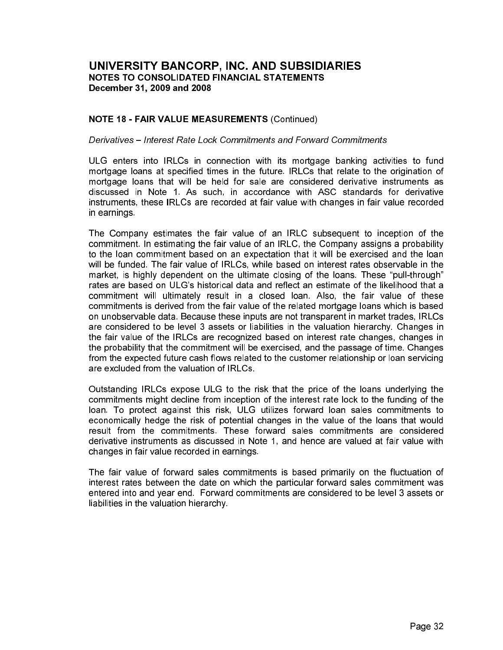#### **NOTE 18 - FAIR VALUE MEASUREMENTS (Continued)**

#### Derivatives - Interest Rate Lock Commitments and Forward Commitments

ULG enters into IRLCs in connection with its mortgage banking activities to fund mortgage loans at specified times in the future. IRLCs that relate to the origination of mortgage loans that will be held for sale are considered derivative instruments as discussed in Note 1. As such, in accordance with ASC standards for derivative instruments, these IRLCs are recorded at fair value with changes in fair value recorded in earnings

The Company estimates the fair value of an IRLC subsequent to inception of the commitment. In estimating the fair value of an IRLC, the Company assigns a probability to the loan commitment based on an expectation that it will be exercised and the loan will be funded. The fair value of IRLCs, while based on interest rates observable in the market, is highly dependent on the ultimate closing of the loans. These "pull-through" rates are based on ULG's historical data and reflect an estimate of the likelihood that a commitment will ultimately result in a closed loan. Also, the fair value of these commitments is derived from the fair value of the related mortgage loans which is based on unobservable data. Because these inputs are not transparent in market trades, IRLCs are considered to be level 3 assets or liabilities in the valuation hierarchy. Changes in the fair value of the IRLCs are recognized based on interest rate changes, changes in the probability that the commitment will be exercised, and the passage of time. Changes from the expected future cash flows related to the customer relationship or loan servicing are excluded from the valuation of IRLCs.

Outstanding IRLCs expose ULG to the risk that the price of the loans underlying the commitments might decline from inception of the interest rate lock to the funding of the loan. To protect against this risk, ULG utilizes forward loan sales commitments to economically hedge the risk of potential changes in the value of the loans that would result from the commitments. These forward sales commitments are considered derivative instruments as discussed in Note 1, and hence are valued at fair value with changes in fair value recorded in earnings.

The fair value of forward sales commitments is based primarily on the fluctuation of interest rates between the date on which the particular forward sales commitment was entered into and year end. Forward commitments are considered to be level 3 assets or liabilities in the valuation hierarchy.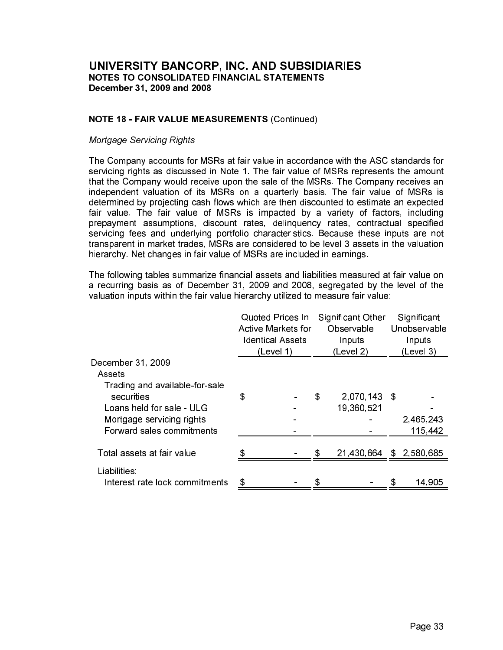#### **NOTE 18 - FAIR VALUE MEASUREMENTS (Continued)**

#### **Mortgage Servicing Rights**

The Company accounts for MSRs at fair value in accordance with the ASC standards for servicing rights as discussed in Note 1. The fair value of MSRs represents the amount that the Company would receive upon the sale of the MSRs. The Company receives an independent valuation of its MSRs on a quarterly basis. The fair value of MSRs is determined by projecting cash flows which are then discounted to estimate an expected fair value. The fair value of MSRs is impacted by a variety of factors, including prepayment assumptions, discount rates, delinguency rates, contractual specified servicing fees and underlying portfolio characteristics. Because these inputs are not transparent in market trades, MSRs are considered to be level 3 assets in the valuation hierarchy. Net changes in fair value of MSRs are included in earnings.

The following tables summarize financial assets and liabilities measured at fair value on a recurring basis as of December 31, 2009 and 2008, segregated by the level of the valuation inputs within the fair value hierarchy utilized to measure fair value:

|                                                | <b>Quoted Prices In</b><br>Active Markets for<br><b>Identical Assets</b><br>(Level 1) | Significant Other<br>Observable<br>Inputs<br>(Level 2) |              |   | Significant<br>Unobservable<br>Inputs<br>(Level 3) |  |  |  |
|------------------------------------------------|---------------------------------------------------------------------------------------|--------------------------------------------------------|--------------|---|----------------------------------------------------|--|--|--|
| December 31, 2009                              |                                                                                       |                                                        |              |   |                                                    |  |  |  |
| Assets:                                        |                                                                                       |                                                        |              |   |                                                    |  |  |  |
| Trading and available-for-sale<br>securities   | \$                                                                                    | \$                                                     | 2,070,143 \$ |   |                                                    |  |  |  |
| Loans held for sale - ULG                      |                                                                                       |                                                        | 19,360,521   |   |                                                    |  |  |  |
| Mortgage servicing rights                      |                                                                                       |                                                        |              |   | 2,465,243                                          |  |  |  |
| Forward sales commitments                      |                                                                                       |                                                        |              |   | 115,442                                            |  |  |  |
| Total assets at fair value                     |                                                                                       | S                                                      | 21,430,664   |   | \$2,580,685                                        |  |  |  |
|                                                |                                                                                       |                                                        |              |   |                                                    |  |  |  |
| Liabilities:<br>Interest rate lock commitments | \$                                                                                    |                                                        |              | S | 14,905                                             |  |  |  |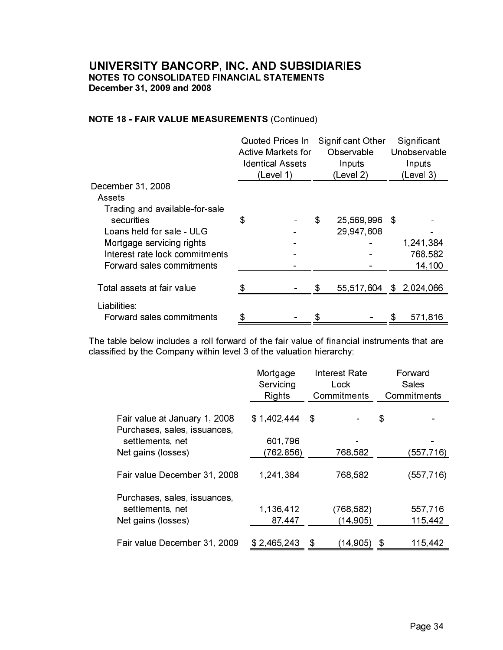# **NOTE 18 - FAIR VALUE MEASUREMENTS (Continued)**

|                                | Quoted Prices In<br><b>Active Markets for</b><br><b>Identical Assets</b><br>(Level 1) | Significant<br>Unobservable<br>Inputs<br>(Level 3) |   |             |  |
|--------------------------------|---------------------------------------------------------------------------------------|----------------------------------------------------|---|-------------|--|
| December 31, 2008              |                                                                                       |                                                    |   |             |  |
| Assets:                        |                                                                                       |                                                    |   |             |  |
| Trading and available-for-sale |                                                                                       |                                                    |   |             |  |
| securities                     | \$                                                                                    | \$<br>25,569,996 \$                                |   |             |  |
| Loans held for sale - ULG      |                                                                                       | 29 947 608                                         |   |             |  |
| Mortgage servicing rights      |                                                                                       |                                                    |   | 1,241,384   |  |
| Interest rate lock commitments |                                                                                       |                                                    |   | 768,582     |  |
| Forward sales commitments      |                                                                                       |                                                    |   | 14,100      |  |
|                                |                                                                                       |                                                    |   |             |  |
| Total assets at fair value     |                                                                                       | \$<br>55,517,604                                   |   | \$2,024,066 |  |
| Liabilities:                   |                                                                                       |                                                    |   |             |  |
| Forward sales commitments      | \$                                                                                    | \$                                                 | S | 571816      |  |

The table below includes a roll forward of the fair value of financial instruments that are classified by the Company within level 3 of the valuation hierarchy:

|                               | Mortgage<br>Servicing<br>Rights | Forward<br>Sales<br>Commitments |            |
|-------------------------------|---------------------------------|---------------------------------|------------|
|                               |                                 |                                 |            |
| Fair value at January 1, 2008 | \$1,402,444                     | \$                              | \$         |
| Purchases, sales, issuances,  |                                 |                                 |            |
| settlements, net              | 601,796                         |                                 |            |
| Net gains (losses)            | (762,856)                       | 768,582                         | (557,716)  |
|                               |                                 |                                 |            |
| Fair value December 31, 2008  | 1,241,384                       | 768,582                         | (557, 716) |
| Purchases, sales, issuances,  |                                 |                                 |            |
| settlements, net              | 1,136,412                       | (768, 582)                      | 557,716    |
| Net gains (losses)            | 87,447                          | (14, 905)                       | 115,442    |
|                               |                                 |                                 |            |
| Fair value December 31, 2009  | \$2,465,243                     | \$<br>(14,905)                  | 115,442    |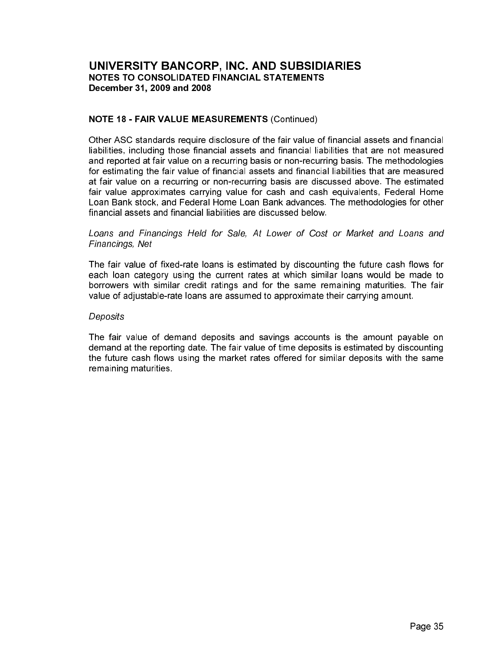#### **NOTE 18 - FAIR VALUE MEASUREMENTS (Continued)**

Other ASC standards require disclosure of the fair value of financial assets and financial liabilities, including those financial assets and financial liabilities that are not measured and reported at fair value on a recurring basis or non-recurring basis. The methodologies for estimating the fair value of financial assets and financial liabilities that are measured at fair value on a recurring or non-recurring basis are discussed above. The estimated fair value approximates carrying value for cash and cash equivalents, Federal Home Loan Bank stock, and Federal Home Loan Bank advances. The methodologies for other financial assets and financial liabilities are discussed below.

#### Loans and Financings Held for Sale, At Lower of Cost or Market and Loans and Financings, Net

The fair value of fixed-rate loans is estimated by discounting the future cash flows for each loan category using the current rates at which similar loans would be made to borrowers with similar credit ratings and for the same remaining maturities. The fair value of adjustable-rate loans are assumed to approximate their carrying amount.

#### Deposits

The fair value of demand deposits and savings accounts is the amount payable on demand at the reporting date. The fair value of time deposits is estimated by discounting the future cash flows using the market rates offered for similar deposits with the same remaining maturities.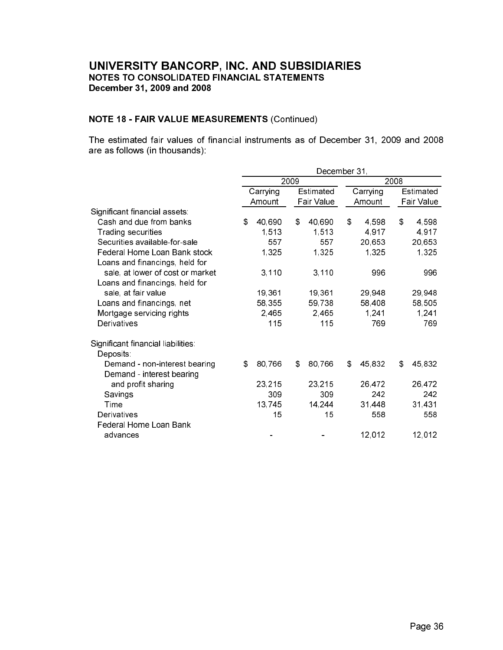# **NOTE 18 - FAIR VALUE MEASUREMENTS (Continued)**

The estimated fair values of financial instruments as of December 31, 2009 and 2008 are as follows (in thousands):

|                                    | December 31, |          |            |           |    |          |      |            |  |
|------------------------------------|--------------|----------|------------|-----------|----|----------|------|------------|--|
|                                    |              |          | 2009       |           |    |          | 2008 |            |  |
|                                    |              | Carrying |            | Estimated |    | Carrying |      | Estimated  |  |
|                                    |              | Amount   | Fair Value |           |    | Amount   |      | Fair Value |  |
| Significant financial assets:      |              |          |            |           |    |          |      |            |  |
| Cash and due from banks            | \$           | 40,690   | \$         | 40,690    | \$ | 4 5 9 8  | \$   | 4,598      |  |
| Trading securities                 |              | 1513     |            | 1,513     |    | 4,917    |      | 4 9 1 7    |  |
| Securities available-for-sale      |              | 557      |            | 557       |    | 20,653   |      | 20,653     |  |
| Federal Home Loan Bank stock       |              | 1,325    |            | 1,325     |    | 1,325    |      | 1,325      |  |
| Loans and financings, held for     |              |          |            |           |    |          |      |            |  |
| sale, at lower of cost or market   |              | 3,110    |            | 3,110     |    | 996      |      | 996        |  |
| Loans and financings, held for     |              |          |            |           |    |          |      |            |  |
| sale, at fair value                |              | 19,361   |            | 19,361    |    | 29,948   |      | 29,948     |  |
| Loans and financings, net          |              | 58,355   |            | 59,738    |    | 58,408   |      | 58,505     |  |
| Mortgage servicing rights          |              | 2,465    |            | 2,465     |    | 1,241    |      | 1,241      |  |
| Derivatives                        |              | 115      |            | 115       |    | 769      |      | 769        |  |
| Significant financial liabilities: |              |          |            |           |    |          |      |            |  |
| Deposits:                          |              |          |            |           |    |          |      |            |  |
| Demand - non-interest bearing      | \$           | 80,766   | \$         | 80,766    | \$ | 45,832   | \$   | 45,832     |  |
| Demand - interest bearing          |              |          |            |           |    |          |      |            |  |
| and profit sharing                 |              | 23,215   |            | 23,215    |    | 26,472   |      | 26,472     |  |
| Savings                            |              | 309      |            | 309       |    | 242      |      | 242        |  |
| Time                               |              | 13,745   |            | 14,244    |    | 31 4 48  |      | 31 4 31    |  |
| Derivatives                        |              | 15       |            | 15        |    | 558      |      | 558        |  |
| Federal Home Loan Bank             |              |          |            |           |    |          |      |            |  |
| advances                           |              |          |            |           |    | 12,012   |      | 12,012     |  |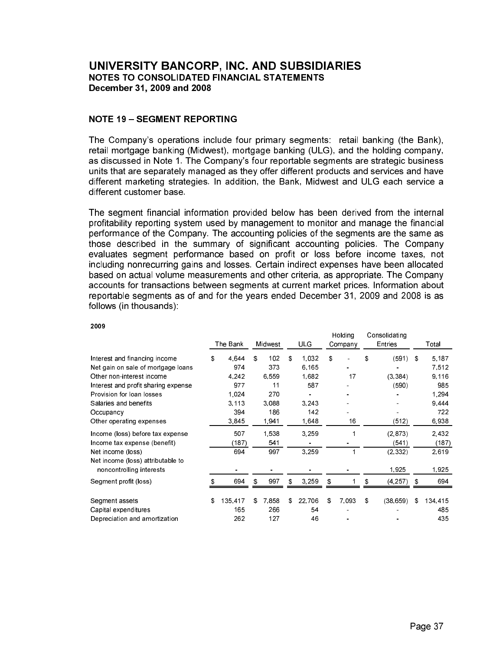#### **NOTE 19 - SEGMENT REPORTING**

The Company's operations include four primary segments: retail banking (the Bank), retail mortgage banking (Midwest), mortgage banking (ULG), and the holding company, as discussed in Note 1. The Company's four reportable segments are strategic business units that are separately managed as they offer different products and services and have different marketing strategies. In addition, the Bank, Midwest and ULG each service a different customer base.

The segment financial information provided below has been derived from the internal profitability reporting system used by management to monitor and manage the financial performance of the Company. The accounting policies of the segments are the same as those described in the summary of significant accounting policies. The Company evaluates segment performance based on profit or loss before income taxes, not including nonrecurring gains and losses. Certain indirect expenses have been allocated based on actual volume measurements and other criteria, as appropriate. The Company accounts for transactions between segments at current market prices. Information about reportable segments as of and for the years ended December 31, 2009 and 2008 is as follows (in thousands):

|                                     | The Bank      |    | Midwest | <b>ULG</b>   |    | Holding<br>Company | Consolidating<br><b>Entries</b> |     | Total   |
|-------------------------------------|---------------|----|---------|--------------|----|--------------------|---------------------------------|-----|---------|
| Interest and financing income       | \$<br>4.644   | S. | 102     | \$<br>1.032  | \$ |                    | \$<br>(591)                     | -\$ | 5.187   |
| Net gain on sale of mortgage loans  | 974           |    | 373     | 6.165        |    |                    |                                 |     | 7512    |
| Other non-interest income           | 4.242         |    | 6.559   | 1.682        |    | 17                 | (3.384)                         |     | 9.116   |
| Interest and profit sharing expense | 977           |    | 11      | 587          |    |                    | (590)                           |     | 985     |
| Provision for loan losses           | 1.024         |    | 270     |              |    |                    |                                 |     | 1,294   |
| Salaries and benefits               | 3.113         |    | 3.088   | 3.243        |    |                    |                                 |     | 9.444   |
| Occupancy                           | 394           |    | 186     | 142          |    |                    |                                 |     | 722     |
| Other operating expenses            | 3,845         |    | 1,941   | 1,648        |    | 16                 | (512)                           |     | 6,938   |
| Income (loss) before tax expense    | 507           |    | 1.538   | 3.259        |    |                    | (2, 873)                        |     | 2432    |
| Income tax expense (benefit)        | (187)         |    | 541     |              |    |                    | (541)                           |     | (187)   |
| Net income (loss)                   | 694           |    | 997     | 3.259        |    |                    | (2.332)                         |     | 2,619   |
| Net income (loss) attributable to   |               |    |         |              |    |                    |                                 |     |         |
| noncontrolling interests            |               |    |         |              |    |                    | 1.925                           |     | 1.925   |
| Segment profit (loss)               | 694           | \$ | 997     | \$<br>3.259  | \$ |                    | \$<br>(4, 257)                  | \$  | 694     |
| Segment assets                      | \$<br>135.417 | \$ | 7,858   | \$<br>22.706 | S  | 7.093              | \$<br>(38, 659)                 | S   | 134,415 |
| Capital expenditures                | 165           |    | 266     | 54           |    |                    |                                 |     | 485     |
| Depreciation and amortization       | 262           |    | 127     | 46           |    |                    |                                 |     | 435     |

2009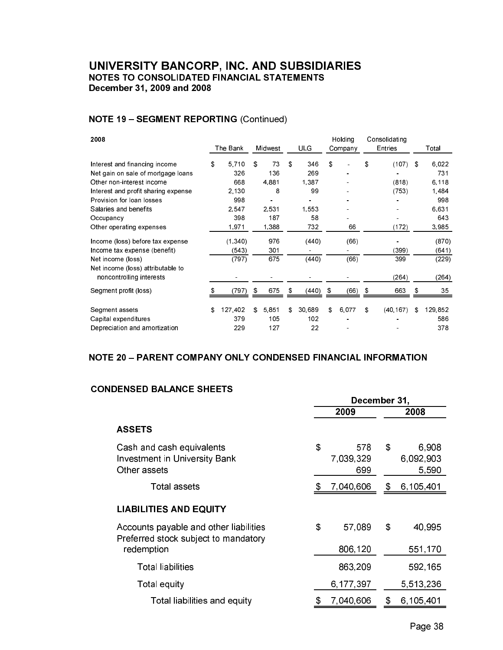# **NOTE 19 - SEGMENT REPORTING (Continued)**

| 2008                                | The Bank      | Midwest     | <b>ULG</b>   | Holding<br>Company | Consolidating<br>Entries |     | Total   |
|-------------------------------------|---------------|-------------|--------------|--------------------|--------------------------|-----|---------|
| Interest and financing income       | \$<br>5710    | \$<br>73    | \$<br>346    | \$                 | \$<br>(107)              | -\$ | 6.022   |
| Net gain on sale of mortgage loans  | 326           | 136         | 269          |                    |                          |     | 731     |
| Other non-interest income           | 668           | 4.881       | 1,387        |                    | (818)                    |     | 6.118   |
| Interest and profit sharing expense | 2,130         | 8           | 99           |                    | (753)                    |     | 1,484   |
| Provision for loan losses           | 998           |             |              |                    |                          |     | 998     |
| Salaries and benefits               | 2.547         | 2.531       | 1.553        |                    |                          |     | 6.631   |
| Occupancy                           | 398           | 187         | 58           |                    |                          |     | 643     |
| Other operating expenses            | 1,971         | 1,388       | 732          | 66                 | (172)                    |     | 3,985   |
| Income (loss) before tax expense    | (1, 340)      | 976         | (440)        | (66)               |                          |     | (870)   |
| Income tax expense (benefit)        | (543)         | 301         |              |                    | (399)                    |     | (641)   |
| Net income (loss)                   | (797)         | 675         | (440)        | (66)               | 399                      |     | (229)   |
| Net income (loss) attributable to   |               |             |              |                    |                          |     |         |
| noncontrolling interests            |               |             |              |                    | (264)                    |     | (264)   |
| Segment profit (loss)               | (797)         | \$<br>675   | \$<br>(440)  | \$<br>(66)         | \$<br>663                | \$  | 35      |
| Segment assets                      | \$<br>127,402 | \$<br>5.851 | \$<br>30.689 | \$<br>6.077        | \$<br>(40.167)           | \$  | 129.852 |
| Capital expenditures                | 379           | 105         | 102          |                    |                          |     | 586     |
| Depreciation and amortization       | 229           | 127         | 22           |                    |                          |     | 378     |

# NOTE 20 - PARENT COMPANY ONLY CONDENSED FINANCIAL INFORMATION

# **CONDENSED BALANCE SHEETS**

|                                                                                | December 31, |                         |      |                             |  |  |
|--------------------------------------------------------------------------------|--------------|-------------------------|------|-----------------------------|--|--|
|                                                                                |              | 2009                    | 2008 |                             |  |  |
| <b>ASSETS</b>                                                                  |              |                         |      |                             |  |  |
| Cash and cash equivalents<br>Investment in University Bank<br>Other assets     | \$           | 578<br>7,039,329<br>699 | \$   | 6,908<br>6,092,903<br>5,590 |  |  |
| Total assets                                                                   |              | 7,040,606               | \$   | 6,105,401                   |  |  |
| <b>LIABILITIES AND EQUITY</b>                                                  |              |                         |      |                             |  |  |
| Accounts payable and other liabilities<br>Preferred stock subject to mandatory | \$           | 57,089                  | \$   | 40,995                      |  |  |
| redemption                                                                     |              | 806,120                 |      | 551,170                     |  |  |
| Total liabilities                                                              |              | 863,209                 |      | 592,165                     |  |  |
| Total equity                                                                   |              | 6,177,397               |      | 5,513,236                   |  |  |
| Total liabilities and equity                                                   |              | 7,040,606               |      | 6,105,401                   |  |  |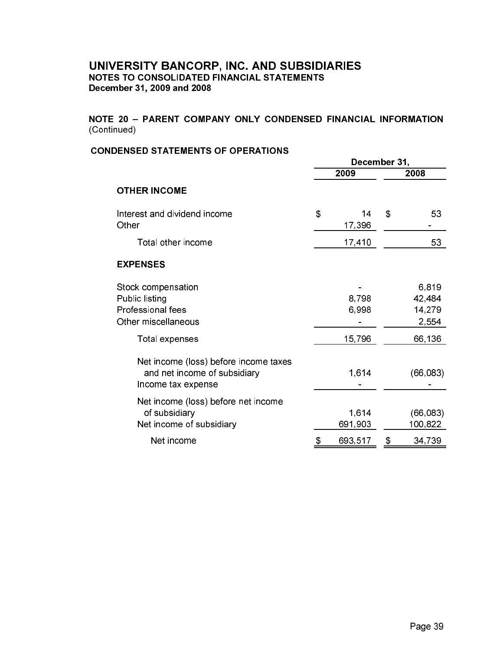# NOTE 20 - PARENT COMPANY ONLY CONDENSED FINANCIAL INFORMATION (Continued)

# **CONDENSED STATEMENTS OF OPERATIONS**

|                                                                                             | December 31, |                  |    |                                    |  |
|---------------------------------------------------------------------------------------------|--------------|------------------|----|------------------------------------|--|
|                                                                                             |              | 2009             |    | 2008                               |  |
| <b>OTHER INCOME</b>                                                                         |              |                  |    |                                    |  |
| Interest and dividend income<br>Other                                                       | \$           | 14<br>17,396     | \$ | 53                                 |  |
| Total other income                                                                          |              | 17,410           |    | 53                                 |  |
| <b>EXPENSES</b>                                                                             |              |                  |    |                                    |  |
| Stock compensation<br>Public listing<br>Professional fees<br>Other miscellaneous            |              | 8,798<br>6,998   |    | 6,819<br>42,484<br>14,279<br>2,554 |  |
| Total expenses                                                                              |              | 15,796           |    | 66,136                             |  |
| Net income (loss) before income taxes<br>and net income of subsidiary<br>Income tax expense |              | 1,614            |    | (66, 083)                          |  |
| Net income (loss) before net income<br>of subsidiary<br>Net income of subsidiary            |              | 1,614<br>691,903 |    | (66, 083)<br>100,822               |  |
| Net income                                                                                  | \$           | 693,517          | \$ | 34,739                             |  |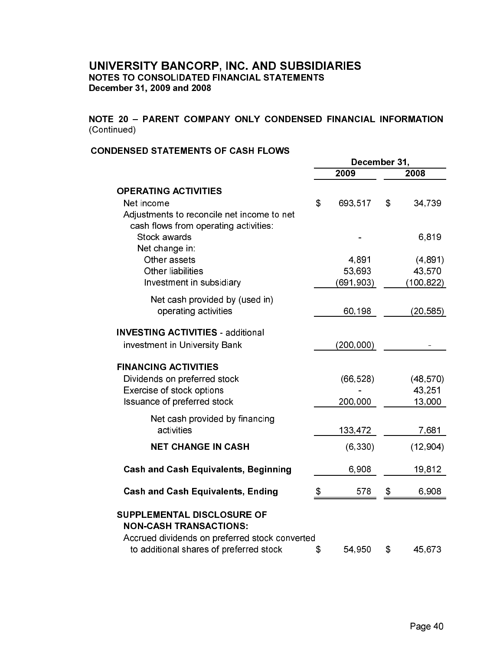# NOTE 20 - PARENT COMPANY ONLY CONDENSED FINANCIAL INFORMATION (Continued)

# **CONDENSED STATEMENTS OF CASH FLOWS**

|                                                                                                   | December 31, |            |    |           |
|---------------------------------------------------------------------------------------------------|--------------|------------|----|-----------|
|                                                                                                   |              | 2009       |    | 2008      |
| <b>OPERATING ACTIVITIES</b>                                                                       |              |            |    |           |
| Net income<br>Adjustments to reconcile net income to net<br>cash flows from operating activities: | \$           | 693,517    | \$ | 34,739    |
| Stock awards<br>Net change in:                                                                    |              |            |    | 6,819     |
| Other assets                                                                                      |              | 4,891      |    | (4, 891)  |
| <b>Other liabilities</b>                                                                          |              | 53,693     |    | 43,570    |
| Investment in subsidiary                                                                          |              | (691,903)  |    | (100,822) |
| Net cash provided by (used in)                                                                    |              |            |    |           |
| operating activities                                                                              |              | 60,198     |    | (20, 585) |
| <b>INVESTING ACTIVITIES - additional</b>                                                          |              |            |    |           |
| investment in University Bank                                                                     |              | (200, 000) |    |           |
| <b>FINANCING ACTIVITIES</b>                                                                       |              |            |    |           |
| Dividends on preferred stock                                                                      |              | (66, 528)  |    | (48, 570) |
| Exercise of stock options                                                                         |              |            |    | 43.251    |
| Issuance of preferred stock                                                                       |              | 200,000    |    | 13,000    |
| Net cash provided by financing<br>activities                                                      |              | 133,472    |    | 7,681     |
|                                                                                                   |              |            |    |           |
| <b>NET CHANGE IN CASH</b>                                                                         |              | (6, 330)   |    | (12, 904) |
| <b>Cash and Cash Equivalents, Beginning</b>                                                       |              | 6,908      |    | 19,812    |
| <b>Cash and Cash Equivalents, Ending</b>                                                          | \$           | 578        | \$ | 6,908     |
| SUPPLEMENTAL DISCLOSURE OF                                                                        |              |            |    |           |
| <b>NON-CASH TRANSACTIONS:</b>                                                                     |              |            |    |           |
| Accrued dividends on preferred stock converted                                                    |              |            |    |           |
| to additional shares of preferred stock                                                           | \$           | 54,950     | \$ | 45,673    |